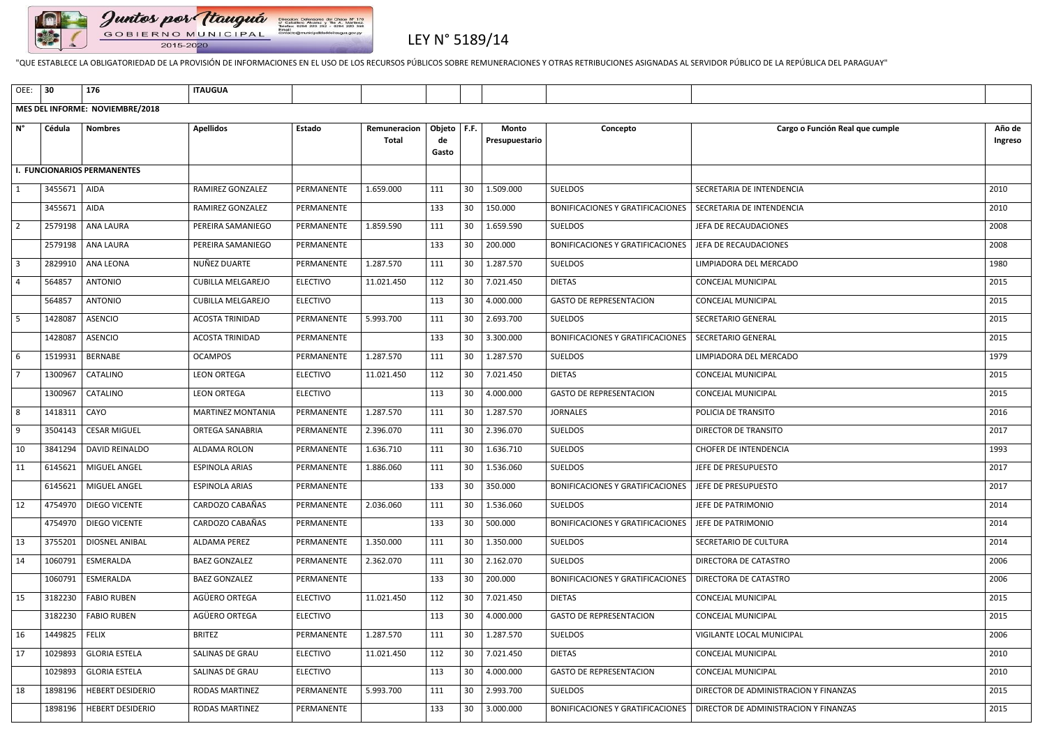

## LEY N° 5189/14

"QUE ESTABLECE LA OBLIGATORIEDAD DE LA PROVISIÓN DE INFORMACIONES EN EL USO DE LOS RECURSOS PÚBLICOS SOBRE REMUNERACIONES Y OTRAS RETRIBUCIONES ASIGNADAS AL SERVIDOR PÚBLICO DE LA REPÚBLICA DEL PARAGUAY"

| <b>OEE</b> | 30                                              | 176 | <b>NUGUA</b> |  |  |  |  |  |  |  |  |
|------------|-------------------------------------------------|-----|--------------|--|--|--|--|--|--|--|--|
|            | $\overline{a}$ are nei informat. Noviembre/2010 |     |              |  |  |  |  |  |  |  |  |

| OEE:           | $ 30\rangle$ | 176                             | <b>ITAUGUA</b>           |                 |                              |                                                    |    |                                |                                         |                                                                          |                   |
|----------------|--------------|---------------------------------|--------------------------|-----------------|------------------------------|----------------------------------------------------|----|--------------------------------|-----------------------------------------|--------------------------------------------------------------------------|-------------------|
|                |              | MES DEL INFORME: NOVIEMBRE/2018 |                          |                 |                              |                                                    |    |                                |                                         |                                                                          |                   |
| $N^{\circ}$    | Cédula       | <b>Nombres</b>                  | <b>Apellidos</b>         | <b>Estado</b>   | Remuneracion<br><b>Total</b> | $\vert$ Objeto $\vert$ F.F. $\vert$<br>de<br>Gasto |    | <b>Monto</b><br>Presupuestario | Concepto                                | Cargo o Función Real que cumple                                          | Año de<br>Ingreso |
|                |              | <b>FUNCIONARIOS PERMANENTES</b> |                          |                 |                              |                                                    |    |                                |                                         |                                                                          |                   |
|                | 3455671 AIDA |                                 | <b>RAMIREZ GONZALEZ</b>  | PERMANENTE      | 1.659.000                    | 111                                                | 30 | 1.509.000                      | <b>SUELDOS</b>                          | SECRETARIA DE INTENDENCIA                                                | 2010              |
|                | 3455671 AIDA |                                 | RAMIREZ GONZALEZ         | PERMANENTE      |                              | 133                                                | 30 | 150.000                        | BONIFICACIONES Y GRATIFICACIONES        | SECRETARIA DE INTENDENCIA                                                | 2010              |
| $\overline{2}$ | 2579198      | <b>ANA LAURA</b>                | PEREIRA SAMANIEGO        | PERMANENTE      | 1.859.590                    | 111                                                | 30 | 1.659.590                      | <b>SUELDOS</b>                          | JEFA DE RECAUDACIONES                                                    | 2008              |
|                | 2579198      | ANA LAURA                       | PEREIRA SAMANIEGO        | PERMANENTE      |                              | 133                                                | 30 | 200.000                        | <b>BONIFICACIONES Y GRATIFICACIONES</b> | JEFA DE RECAUDACIONES                                                    | 2008              |
| $\overline{3}$ | 2829910      | ANA LEONA                       | NUÑEZ DUARTE             | PERMANENTE      | 1.287.570                    | 111                                                | 30 | 1.287.570                      | <b>SUELDOS</b>                          | LIMPIADORA DEL MERCADO                                                   | 1980              |
| $\overline{4}$ | 564857       | <b>ANTONIO</b>                  | <b>CUBILLA MELGAREJO</b> | <b>ELECTIVO</b> | 11.021.450                   | 112                                                | 30 | 7.021.450                      | <b>DIETAS</b>                           | CONCEJAL MUNICIPAL                                                       | 2015              |
|                | 564857       | <b>ANTONIO</b>                  | <b>CUBILLA MELGAREJO</b> | <b>ELECTIVO</b> |                              | 113                                                | 30 | 4.000.000                      | <b>GASTO DE REPRESENTACION</b>          | <b>CONCEJAL MUNICIPAL</b>                                                | 2015              |
| 5              | 1428087      | <b>ASENCIO</b>                  | <b>ACOSTA TRINIDAD</b>   | PERMANENTE      | 5.993.700                    | 111                                                | 30 | 2.693.700                      | <b>SUELDOS</b>                          | <b>SECRETARIO GENERAL</b>                                                | 2015              |
|                | 1428087      | <b>ASENCIO</b>                  | <b>ACOSTA TRINIDAD</b>   | PERMANENTE      |                              | 133                                                | 30 | 3.300.000                      | <b>BONIFICACIONES Y GRATIFICACIONES</b> | SECRETARIO GENERAL                                                       | 2015              |
| 6              | 1519931      | <b>BERNABE</b>                  | <b>OCAMPOS</b>           | PERMANENTE      | 1.287.570                    | 111                                                | 30 | 1.287.570                      | <b>SUELDOS</b>                          | LIMPIADORA DEL MERCADO                                                   | 1979              |
| $\overline{7}$ | 1300967      | CATALINO                        | <b>LEON ORTEGA</b>       | <b>ELECTIVO</b> | 11.021.450                   | 112                                                | 30 | 7.021.450                      | <b>DIETAS</b>                           | CONCEJAL MUNICIPAL                                                       | 2015              |
|                | 1300967      | CATALINO                        | <b>LEON ORTEGA</b>       | <b>ELECTIVO</b> |                              | 113                                                | 30 | 4.000.000                      | <b>GASTO DE REPRESENTACION</b>          | CONCEJAL MUNICIPAL                                                       | 2015              |
| 8              | 1418311      | CAYO                            | <b>MARTINEZ MONTANIA</b> | PERMANENTE      | 1.287.570                    | 111                                                | 30 | 1.287.570                      | <b>JORNALES</b>                         | POLICIA DE TRANSITO                                                      | 2016              |
| 9              |              | 3504143   CESAR MIGUEL          | <b>ORTEGA SANABRIA</b>   | PERMANENTE      | 2.396.070                    | 111                                                | 30 | 2.396.070                      | <b>SUELDOS</b>                          | <b>DIRECTOR DE TRANSITO</b>                                              | 2017              |
| 10             |              | 3841294   DAVID REINALDO        | ALDAMA ROLON             | PERMANENTE      | 1.636.710                    | 111                                                |    | 30   1.636.710                 | <b>SUELDOS</b>                          | <b>CHOFER DE INTENDENCIA</b>                                             | 1993              |
| 11             | 6145621      | MIGUEL ANGEL                    | <b>ESPINOLA ARIAS</b>    | PERMANENTE      | 1.886.060                    | 111                                                | 30 | 1.536.060                      | <b>SUELDOS</b>                          | JEFE DE PRESUPUESTO                                                      | 2017              |
|                | 6145621      | MIGUEL ANGEL                    | <b>ESPINOLA ARIAS</b>    | PERMANENTE      |                              | 133                                                | 30 | 350.000                        | BONIFICACIONES Y GRATIFICACIONES        | JEFE DE PRESUPUESTO                                                      | 2017              |
| 12             | 4754970      | DIEGO VICENTE                   | CARDOZO CABAÑAS          | PERMANENTE      | 2.036.060                    | 111                                                | 30 | 1.536.060                      | <b>SUELDOS</b>                          | JEFE DE PATRIMONIO                                                       | 2014              |
|                | 4754970      | DIEGO VICENTE                   | CARDOZO CABAÑAS          | PERMANENTE      |                              | 133                                                | 30 | 500.000                        | BONIFICACIONES Y GRATIFICACIONES        | JEFE DE PATRIMONIO                                                       | 2014              |
| 13             | 3755201      | DIOSNEL ANIBAL                  | ALDAMA PEREZ             | PERMANENTE      | 1.350.000                    | 111                                                | 30 | 1.350.000                      | <b>SUELDOS</b>                          | SECRETARIO DE CULTURA                                                    | 2014              |
| 14             | 1060791      | ESMERALDA                       | <b>BAEZ GONZALEZ</b>     | PERMANENTE      | 2.362.070                    | 111                                                | 30 | 2.162.070                      | <b>SUELDOS</b>                          | DIRECTORA DE CATASTRO                                                    | 2006              |
|                | 1060791      | ESMERALDA                       | <b>BAEZ GONZALEZ</b>     | PERMANENTE      |                              | 133                                                | 30 | 200.000                        | <b>BONIFICACIONES Y GRATIFICACIONES</b> | DIRECTORA DE CATASTRO                                                    | 2006              |
| 15             | 3182230      | <b>FABIO RUBEN</b>              | AGÜERO ORTEGA            | <b>ELECTIVO</b> | 11.021.450                   | 112                                                | 30 | 7.021.450                      | <b>DIETAS</b>                           | CONCEJAL MUNICIPAL                                                       | 2015              |
|                | 3182230      | <b>FABIO RUBEN</b>              | AGÜERO ORTEGA            | <b>ELECTIVO</b> |                              | 113                                                | 30 | 4.000.000                      | <b>GASTO DE REPRESENTACION</b>          | CONCEJAL MUNICIPAL                                                       | 2015              |
| 16             | 1449825      | <b>FELIX</b>                    | <b>BRITEZ</b>            | PERMANENTE      | 1.287.570                    | 111                                                | 30 | 1.287.570                      | <b>SUELDOS</b>                          | VIGILANTE LOCAL MUNICIPAL                                                | 2006              |
| 17             | 1029893      | <b>GLORIA ESTELA</b>            | SALINAS DE GRAU          | <b>ELECTIVO</b> | 11.021.450                   | 112                                                | 30 | 7.021.450                      | <b>DIETAS</b>                           | CONCEJAL MUNICIPAL                                                       | 2010              |
|                | 1029893      | <b>GLORIA ESTELA</b>            | SALINAS DE GRAU          | <b>ELECTIVO</b> |                              | 113                                                | 30 | 4.000.000                      | <b>GASTO DE REPRESENTACION</b>          | CONCEJAL MUNICIPAL                                                       | 2010              |
| 18             | 1898196      | <b>HEBERT DESIDERIO</b>         | <b>RODAS MARTINEZ</b>    | PERMANENTE      | 5.993.700                    | 111                                                | 30 | 2.993.700                      | <b>SUELDOS</b>                          | DIRECTOR DE ADMINISTRACION Y FINANZAS                                    | 2015              |
|                | 1898196      | HEBERT DESIDERIO                | <b>RODAS MARTINEZ</b>    | PERMANENTE      |                              | 133                                                | 30 | 3.000.000                      |                                         | BONIFICACIONES Y GRATIFICACIONES   DIRECTOR DE ADMINISTRACION Y FINANZAS | 2015              |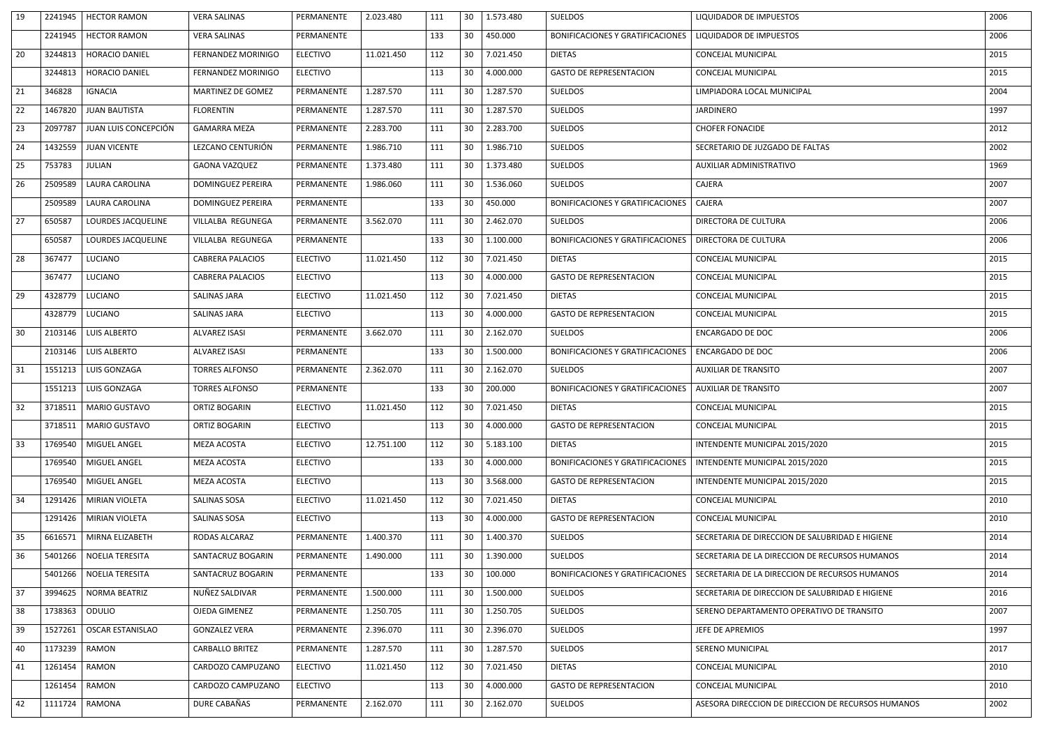| 19 | 2241945 | <b>HECTOR RAMON</b>     | <b>VERA SALINAS</b>       | PERMANENTE      | 2.023.480  | 111 | 30              | 1.573.480           | <b>SUELDOS</b>                                          | LIQUIDADOR DE IMPUESTOS                                                           | 2006 |
|----|---------|-------------------------|---------------------------|-----------------|------------|-----|-----------------|---------------------|---------------------------------------------------------|-----------------------------------------------------------------------------------|------|
|    | 2241945 | <b>HECTOR RAMON</b>     | <b>VERA SALINAS</b>       | PERMANENTE      |            | 133 | 30              | 450.000             | BONIFICACIONES Y GRATIFICACIONES                        | LIQUIDADOR DE IMPUESTOS                                                           | 2006 |
| 20 | 3244813 | <b>HORACIO DANIEL</b>   | <b>FERNANDEZ MORINIGO</b> | <b>ELECTIVO</b> | 11.021.450 | 112 | 30 <sup>°</sup> | 7.021.450           | <b>DIETAS</b>                                           | <b>CONCEJAL MUNICIPAL</b>                                                         | 2015 |
|    | 3244813 | <b>HORACIO DANIEL</b>   | FERNANDEZ MORINIGO        | <b>ELECTIVO</b> |            | 113 | 30              | 4.000.000           | <b>GASTO DE REPRESENTACION</b>                          | CONCEJAL MUNICIPAL                                                                | 2015 |
| 21 | 346828  | <b>IGNACIA</b>          | MARTINEZ DE GOMEZ         | PERMANENTE      | 1.287.570  | 111 | 30              | 1.287.570           | <b>SUELDOS</b>                                          | LIMPIADORA LOCAL MUNICIPAL                                                        | 2004 |
| 22 | 1467820 | <b>JUAN BAUTISTA</b>    | <b>FLORENTIN</b>          | PERMANENTE      | 1.287.570  | 111 | 30              | 1.287.570           | SUELDOS                                                 | <b>JARDINERO</b>                                                                  | 1997 |
| 23 | 2097787 | JUAN LUIS CONCEPCIÓN    | <b>GAMARRA MEZA</b>       | PERMANENTE      | 2.283.700  | 111 | 30              | 2.283.700           | <b>SUELDOS</b>                                          | <b>CHOFER FONACIDE</b>                                                            | 2012 |
| 24 | 1432559 | <b>JUAN VICENTE</b>     | LEZCANO CENTURIÓN         | PERMANENTE      | 1.986.710  | 111 | 30              | 1.986.710           | <b>SUELDOS</b>                                          | SECRETARIO DE JUZGADO DE FALTAS                                                   | 2002 |
| 25 | 753783  | <b>JULIAN</b>           | <b>GAONA VAZQUEZ</b>      | PERMANENTE      | 1.373.480  | 111 | 30 <sup>°</sup> | 1.373.480           | <b>SUELDOS</b>                                          | AUXILIAR ADMINISTRATIVO                                                           | 1969 |
| 26 | 2509589 | <b>LAURA CAROLINA</b>   | <b>DOMINGUEZ PEREIRA</b>  | PERMANENTE      | 1.986.060  | 111 | 30              | 1.536.060           | <b>SUELDOS</b>                                          | CAJERA                                                                            | 2007 |
|    | 2509589 | <b>LAURA CAROLINA</b>   | <b>DOMINGUEZ PEREIRA</b>  | PERMANENTE      |            | 133 | 30              | 450.000             | <b>BONIFICACIONES Y GRATIFICACIONES</b>                 | CAJERA                                                                            | 2007 |
| 27 | 650587  | LOURDES JACQUELINE      | VILLALBA REGUNEGA         | PERMANENTE      | 3.562.070  | 111 | 30              | 2.462.070           | SUELDOS                                                 | DIRECTORA DE CULTURA                                                              | 2006 |
|    | 650587  | LOURDES JACQUELINE      | VILLALBA REGUNEGA         | PERMANENTE      |            | 133 | 30              | 1.100.000           | BONIFICACIONES Y GRATIFICACIONES   DIRECTORA DE CULTURA |                                                                                   | 2006 |
| 28 | 367477  | <b>LUCIANO</b>          | <b>CABRERA PALACIOS</b>   | <b>ELECTIVO</b> | 11.021.450 | 112 | 30              | 7.021.450           | <b>DIETAS</b>                                           | <b>CONCEJAL MUNICIPAL</b>                                                         | 2015 |
|    | 367477  | LUCIANO                 | <b>CABRERA PALACIOS</b>   | <b>ELECTIVO</b> |            | 113 | 30 <sup>°</sup> | 4.000.000           | <b>GASTO DE REPRESENTACION</b>                          | CONCEJAL MUNICIPAL                                                                | 2015 |
| 29 | 4328779 | LUCIANO                 | <b>SALINAS JARA</b>       | <b>ELECTIVO</b> | 11.021.450 | 112 | 30              | 7.021.450           | <b>DIETAS</b>                                           | <b>CONCEJAL MUNICIPAL</b>                                                         | 2015 |
|    | 4328779 | LUCIANO                 | <b>SALINAS JARA</b>       | <b>ELECTIVO</b> |            | 113 | 30              | 4.000.000           | <b>GASTO DE REPRESENTACION</b>                          | <b>CONCEJAL MUNICIPAL</b>                                                         | 2015 |
| 30 | 2103146 | <b>LUIS ALBERTO</b>     | <b>ALVAREZ ISASI</b>      | PERMANENTE      | 3.662.070  | 111 | 30              | 2.162.070           | <b>SUELDOS</b>                                          | <b>ENCARGADO DE DOC</b>                                                           | 2006 |
|    | 2103146 | <b>LUIS ALBERTO</b>     | <b>ALVAREZ ISASI</b>      | PERMANENTE      |            | 133 | 30              | 1.500.000           | BONIFICACIONES Y GRATIFICACIONES   ENCARGADO DE DOC     |                                                                                   | 2006 |
| 31 |         | 1551213   LUIS GONZAGA  | <b>TORRES ALFONSO</b>     | PERMANENTE      | 2.362.070  | 111 |                 | $30 \mid 2.162.070$ | <b>SUELDOS</b>                                          | <b>AUXILIAR DE TRANSITO</b>                                                       | 2007 |
|    | 1551213 | LUIS GONZAGA            | <b>TORRES ALFONSO</b>     | PERMANENTE      |            | 133 | 30              | 200.000             | BONIFICACIONES Y GRATIFICACIONES   AUXILIAR DE TRANSITO |                                                                                   | 2007 |
| 32 | 3718511 | <b>MARIO GUSTAVO</b>    | ORTIZ BOGARIN             | <b>ELECTIVO</b> | 11.021.450 | 112 | 30              | 7.021.450           | <b>DIETAS</b>                                           | CONCEJAL MUNICIPAL                                                                | 2015 |
|    | 3718511 | MARIO GUSTAVO           | ORTIZ BOGARIN             | <b>ELECTIVO</b> |            | 113 | 30              | 4.000.000           | <b>GASTO DE REPRESENTACION</b>                          | CONCEJAL MUNICIPAL                                                                | 2015 |
| 33 | 1769540 | MIGUEL ANGEL            | MEZA ACOSTA               | <b>ELECTIVO</b> | 12.751.100 | 112 | 30              | 5.183.100           | <b>DIETAS</b>                                           | INTENDENTE MUNICIPAL 2015/2020                                                    | 2015 |
|    | 1769540 | <b>MIGUEL ANGEL</b>     | <b>MEZA ACOSTA</b>        | <b>ELECTIVO</b> |            | 133 | 30              | 4.000.000           | BONIFICACIONES Y GRATIFICACIONES                        | INTENDENTE MUNICIPAL 2015/2020                                                    | 2015 |
|    | 1769540 | MIGUEL ANGEL            | <b>MEZA ACOSTA</b>        | <b>ELECTIVO</b> |            | 113 | 30              | 3.568.000           | <b>GASTO DE REPRESENTACION</b>                          | INTENDENTE MUNICIPAL 2015/2020                                                    | 2015 |
| 34 | 1291426 | MIRIAN VIOLETA          | <b>SALINAS SOSA</b>       | <b>ELECTIVO</b> | 11.021.450 | 112 | 30              | 7.021.450           | <b>DIETAS</b>                                           | CONCEJAL MUNICIPAL                                                                | 2010 |
|    | 1291426 | MIRIAN VIOLETA          | <b>SALINAS SOSA</b>       | <b>ELECTIVO</b> |            | 113 | 30              | 4.000.000           | <b>GASTO DE REPRESENTACION</b>                          | <b>CONCEJAL MUNICIPAL</b>                                                         | 2010 |
| 35 | 6616571 | MIRNA ELIZABETH         | RODAS ALCARAZ             | PERMANENTE      | 1.400.370  | 111 | 30              | 1.400.370           | <b>SUELDOS</b>                                          | SECRETARIA DE DIRECCION DE SALUBRIDAD E HIGIENE                                   | 2014 |
| 36 | 5401266 | NOELIA TERESITA         | SANTACRUZ BOGARIN         | PERMANENTE      | 1.490.000  | 111 | 30              | 1.390.000           | <b>SUELDOS</b>                                          | SECRETARIA DE LA DIRECCION DE RECURSOS HUMANOS                                    | 2014 |
|    | 5401266 | NOELIA TERESITA         | SANTACRUZ BOGARIN         | PERMANENTE      |            | 133 | 30              | 100.000             |                                                         | BONIFICACIONES Y GRATIFICACIONES   SECRETARIA DE LA DIRECCION DE RECURSOS HUMANOS | 2014 |
| 37 | 3994625 | NORMA BEATRIZ           | NUÑEZ SALDIVAR            | PERMANENTE      | 1.500.000  | 111 | 30              | 1.500.000           | <b>SUELDOS</b>                                          | SECRETARIA DE DIRECCION DE SALUBRIDAD E HIGIENE                                   | 2016 |
| 38 | 1738363 | ODULIO                  | OJEDA GIMENEZ             | PERMANENTE      | 1.250.705  | 111 | 30 <sup>°</sup> | 1.250.705           | <b>SUELDOS</b>                                          | SERENO DEPARTAMENTO OPERATIVO DE TRANSITO                                         | 2007 |
| 39 | 1527261 | <b>OSCAR ESTANISLAO</b> | <b>GONZALEZ VERA</b>      | PERMANENTE      | 2.396.070  | 111 | 30              | 2.396.070           | <b>SUELDOS</b>                                          | JEFE DE APREMIOS                                                                  | 1997 |
| 40 | 1173239 | <b>RAMON</b>            | <b>CARBALLO BRITEZ</b>    | PERMANENTE      | 1.287.570  | 111 | 30              | 1.287.570           | <b>SUELDOS</b>                                          | <b>SERENO MUNICIPAL</b>                                                           | 2017 |
| 41 | 1261454 | RAMON                   | CARDOZO CAMPUZANO         | <b>ELECTIVO</b> | 11.021.450 | 112 | 30              | 7.021.450           | <b>DIETAS</b>                                           | CONCEJAL MUNICIPAL                                                                | 2010 |
|    | 1261454 | RAMON                   | CARDOZO CAMPUZANO         | <b>ELECTIVO</b> |            | 113 | 30              | 4.000.000           | <b>GASTO DE REPRESENTACION</b>                          | CONCEJAL MUNICIPAL                                                                | 2010 |
| 42 | 1111724 | <b>RAMONA</b>           | DURE CABAÑAS              | PERMANENTE      | 2.162.070  | 111 | 30              | 2.162.070           | <b>SUELDOS</b>                                          | ASESORA DIRECCION DE DIRECCION DE RECURSOS HUMANOS                                | 2002 |
|    |         |                         |                           |                 |            |     |                 |                     |                                                         |                                                                                   |      |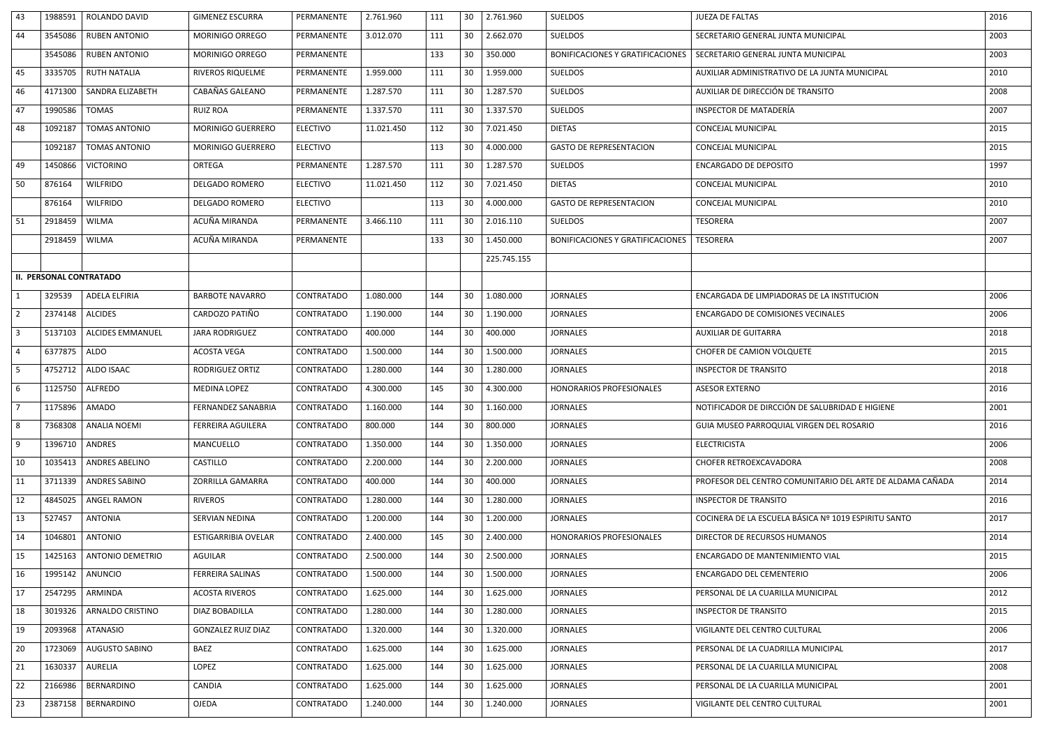| 43             | 1988591 | ROLANDO DAVID                  | <b>GIMENEZ ESCURRA</b>     | PERMANENTE        | 2.761.960  | 111 | 30              | 2.761.960    | <b>SUELDOS</b>                   | <b>JUEZA DE FALTAS</b>                                    | 2016 |
|----------------|---------|--------------------------------|----------------------------|-------------------|------------|-----|-----------------|--------------|----------------------------------|-----------------------------------------------------------|------|
| 44             | 3545086 | <b>RUBEN ANTONIO</b>           | MORINIGO ORREGO            | PERMANENTE        | 3.012.070  | 111 | 30              | 2.662.070    | <b>SUELDOS</b>                   | SECRETARIO GENERAL JUNTA MUNICIPAL                        | 2003 |
|                | 3545086 | <b>RUBEN ANTONIO</b>           | <b>MORINIGO ORREGO</b>     | PERMANENTE        |            | 133 | 30              | 350.000      | BONIFICACIONES Y GRATIFICACIONES | SECRETARIO GENERAL JUNTA MUNICIPAL                        | 2003 |
| 45             | 3335705 | <b>RUTH NATALIA</b>            | RIVEROS RIQUELME           | PERMANENTE        | 1.959.000  | 111 | 30              | 1.959.000    | <b>SUELDOS</b>                   | AUXILIAR ADMINISTRATIVO DE LA JUNTA MUNICIPAL             | 2010 |
| 46             | 4171300 | <b>SANDRA ELIZABETH</b>        | CABAÑAS GALEANO            | PERMANENTE        | 1.287.570  | 111 | 30              | 1.287.570    | <b>SUELDOS</b>                   | AUXILIAR DE DIRECCIÓN DE TRANSITO                         | 2008 |
| 47             | 1990586 | <b>TOMAS</b>                   | <b>RUIZ ROA</b>            | PERMANENTE        | 1.337.570  | 111 | 30              | 1.337.570    | <b>SUELDOS</b>                   | <b>INSPECTOR DE MATADERÍA</b>                             | 2007 |
| 48             | 1092187 | <b>TOMAS ANTONIO</b>           | <b>MORINIGO GUERRERO</b>   | <b>ELECTIVO</b>   | 11.021.450 | 112 | 30              | 7.021.450    | <b>DIETAS</b>                    | CONCEJAL MUNICIPAL                                        | 2015 |
|                | 1092187 | <b>TOMAS ANTONIO</b>           | <b>MORINIGO GUERRERO</b>   | <b>ELECTIVO</b>   |            | 113 | 30              | 4.000.000    | <b>GASTO DE REPRESENTACION</b>   | CONCEJAL MUNICIPAL                                        | 2015 |
| 49             | 1450866 | <b>VICTORINO</b>               | ORTEGA                     | PERMANENTE        | 1.287.570  | 111 | 30              | 1.287.570    | <b>SUELDOS</b>                   | <b>ENCARGADO DE DEPOSITO</b>                              | 1997 |
| 50             | 876164  | <b>WILFRIDO</b>                | <b>DELGADO ROMERO</b>      | <b>ELECTIVO</b>   | 11.021.450 | 112 | 30              | 7.021.450    | <b>DIETAS</b>                    | CONCEJAL MUNICIPAL                                        | 2010 |
|                | 876164  | <b>WILFRIDO</b>                | <b>DELGADO ROMERO</b>      | <b>ELECTIVO</b>   |            | 113 | 30              | 4.000.000    | <b>GASTO DE REPRESENTACION</b>   | CONCEJAL MUNICIPAL                                        | 2010 |
| 51             | 2918459 | WILMA                          | ACUÑA MIRANDA              | PERMANENTE        | 3.466.110  | 111 | 30              | 2.016.110    | <b>SUELDOS</b>                   | <b>TESORERA</b>                                           | 2007 |
|                | 2918459 | <b>WILMA</b>                   | ACUÑA MIRANDA              | PERMANENTE        |            | 133 | 30              | 1.450.000    | BONIFICACIONES Y GRATIFICACIONES | <b>TESORERA</b>                                           | 2007 |
|                |         |                                |                            |                   |            |     |                 | 225.745.155  |                                  |                                                           |      |
|                |         | <b>II. PERSONAL CONTRATADO</b> |                            |                   |            |     |                 |              |                                  |                                                           |      |
|                | 329539  | ADELA ELFIRIA                  | <b>BARBOTE NAVARRO</b>     | CONTRATADO        | 1.080.000  | 144 | 30              | 1.080.000    | <b>JORNALES</b>                  | ENCARGADA DE LIMPIADORAS DE LA INSTITUCION                | 2006 |
| $\overline{2}$ | 2374148 | <b>ALCIDES</b>                 | CARDOZO PATIÑO             | CONTRATADO        | 1.190.000  | 144 | 30 <sup>°</sup> | 1.190.000    | <b>JORNALES</b>                  | <b>ENCARGADO DE COMISIONES VECINALES</b>                  | 2006 |
| -3             | 5137103 | <b>ALCIDES EMMANUEL</b>        | <b>JARA RODRIGUEZ</b>      | CONTRATADO        | 400.000    | 144 | 30              | 400.000      | <b>JORNALES</b>                  | <b>AUXILIAR DE GUITARRA</b>                               | 2018 |
| $\overline{a}$ | 6377875 | <b>ALDO</b>                    | <b>ACOSTA VEGA</b>         | <b>CONTRATADO</b> | 1.500.000  | 144 | 30              | 1.500.000    | <b>JORNALES</b>                  | CHOFER DE CAMION VOLQUETE                                 | 2015 |
| $\sqrt{5}$     |         | 4752712   ALDO ISAAC           | RODRIGUEZ ORTIZ            | CONTRATADO        | 1.280.000  | 144 |                 | 30 1.280.000 | <b>JORNALES</b>                  | <b>INSPECTOR DE TRANSITO</b>                              | 2018 |
|                | 1125750 | ALFREDO                        | <b>MEDINA LOPEZ</b>        | CONTRATADO        | 4.300.000  | 145 | 30              | 4.300.000    | <b>HONORARIOS PROFESIONALES</b>  | <b>ASESOR EXTERNO</b>                                     | 2016 |
|                | 1175896 | <b>AMADO</b>                   | FERNANDEZ SANABRIA         | CONTRATADO        | 1.160.000  | 144 | 30 <sup>°</sup> | 1.160.000    | <b>JORNALES</b>                  | NOTIFICADOR DE DIRCCIÓN DE SALUBRIDAD E HIGIENE           | 2001 |
| 8              | 7368308 | <b>ANALIA NOEMI</b>            | FERREIRA AGUILERA          | CONTRATADO        | 800.000    | 144 | 30              | 800.000      | <b>JORNALES</b>                  | GUIA MUSEO PARROQUIAL VIRGEN DEL ROSARIO                  | 2016 |
| -9             | 1396710 | ANDRES                         | MANCUELLO                  | CONTRATADO        | 1.350.000  | 144 | 30              | 1.350.000    | <b>JORNALES</b>                  | <b>ELECTRICISTA</b>                                       | 2006 |
| 10             | 1035413 | ANDRES ABELINO                 | <b>CASTILLO</b>            | CONTRATADO        | 2.200.000  | 144 | 30              | 2.200.000    | <b>JORNALES</b>                  | CHOFER RETROEXCAVADORA                                    | 2008 |
| 11             | 3711339 | <b>ANDRES SABINO</b>           | ZORRILLA GAMARRA           | CONTRATADO        | 400.000    | 144 | 30              | 400.000      | <b>JORNALES</b>                  | PROFESOR DEL CENTRO COMUNITARIO DEL ARTE DE ALDAMA CAÑADA | 2014 |
| 12             | 4845025 | <b>ANGEL RAMON</b>             | <b>RIVEROS</b>             | CONTRATADO        | 1.280.000  | 144 | 30              | 1.280.000    | <b>JORNALES</b>                  | <b>INSPECTOR DE TRANSITO</b>                              | 2016 |
| 13             | 527457  | <b>ANTONIA</b>                 | SERVIAN NEDINA             | CONTRATADO        | 1.200.000  | 144 | 30              | 1.200.000    | <b>JORNALES</b>                  | COCINERA DE LA ESCUELA BÁSICA Nº 1019 ESPIRITU SANTO      | 2017 |
| 14             | 1046801 | <b>ANTONIO</b>                 | <b>ESTIGARRIBIA OVELAR</b> | CONTRATADO        | 2.400.000  | 145 | 30              | 2.400.000    | <b>HONORARIOS PROFESIONALES</b>  | DIRECTOR DE RECURSOS HUMANOS                              | 2014 |
| 15             | 1425163 | <b>ANTONIO DEMETRIO</b>        | <b>AGUILAR</b>             | CONTRATADO        | 2.500.000  | 144 | 30              | 2.500.000    | <b>JORNALES</b>                  | ENCARGADO DE MANTENIMIENTO VIAL                           | 2015 |
| 16             | 1995142 | <b>ANUNCIO</b>                 | <b>FERREIRA SALINAS</b>    | CONTRATADO        | 1.500.000  | 144 | 30              | 1.500.000    | <b>JORNALES</b>                  | ENCARGADO DEL CEMENTERIO                                  | 2006 |
| 17             | 2547295 | ARMINDA                        | <b>ACOSTA RIVEROS</b>      | CONTRATADO        | 1.625.000  | 144 | 30              | 1.625.000    | <b>JORNALES</b>                  | PERSONAL DE LA CUARILLA MUNICIPAL                         | 2012 |
| 18             | 3019326 | <b>ARNALDO CRISTINO</b>        | DIAZ BOBADILLA             | CONTRATADO        | 1.280.000  | 144 | 30              | 1.280.000    | <b>JORNALES</b>                  | <b>INSPECTOR DE TRANSITO</b>                              | 2015 |
| 19             | 2093968 | ATANASIO                       | <b>GONZALEZ RUIZ DIAZ</b>  | CONTRATADO        | 1.320.000  | 144 | 30              | 1.320.000    | <b>JORNALES</b>                  | VIGILANTE DEL CENTRO CULTURAL                             | 2006 |
| 20             | 1723069 | <b>AUGUSTO SABINO</b>          | <b>BAEZ</b>                | CONTRATADO        | 1.625.000  | 144 | 30              | 1.625.000    | <b>JORNALES</b>                  | PERSONAL DE LA CUADRILLA MUNICIPAL                        | 2017 |
| 21             | 1630337 | <b>AURELIA</b>                 | LOPEZ                      | CONTRATADO        | 1.625.000  | 144 | 30              | 1.625.000    | <b>JORNALES</b>                  | PERSONAL DE LA CUARILLA MUNICIPAL                         | 2008 |
| 22             | 2166986 | <b>BERNARDINO</b>              | <b>CANDIA</b>              | CONTRATADO        | 1.625.000  | 144 | 30              | 1.625.000    | <b>JORNALES</b>                  | PERSONAL DE LA CUARILLA MUNICIPAL                         | 2001 |
| 23             | 2387158 | BERNARDINO                     | OJEDA                      | CONTRATADO        | 1.240.000  | 144 | 30 <sup>°</sup> | 1.240.000    | <b>JORNALES</b>                  | VIGILANTE DEL CENTRO CULTURAL                             | 2001 |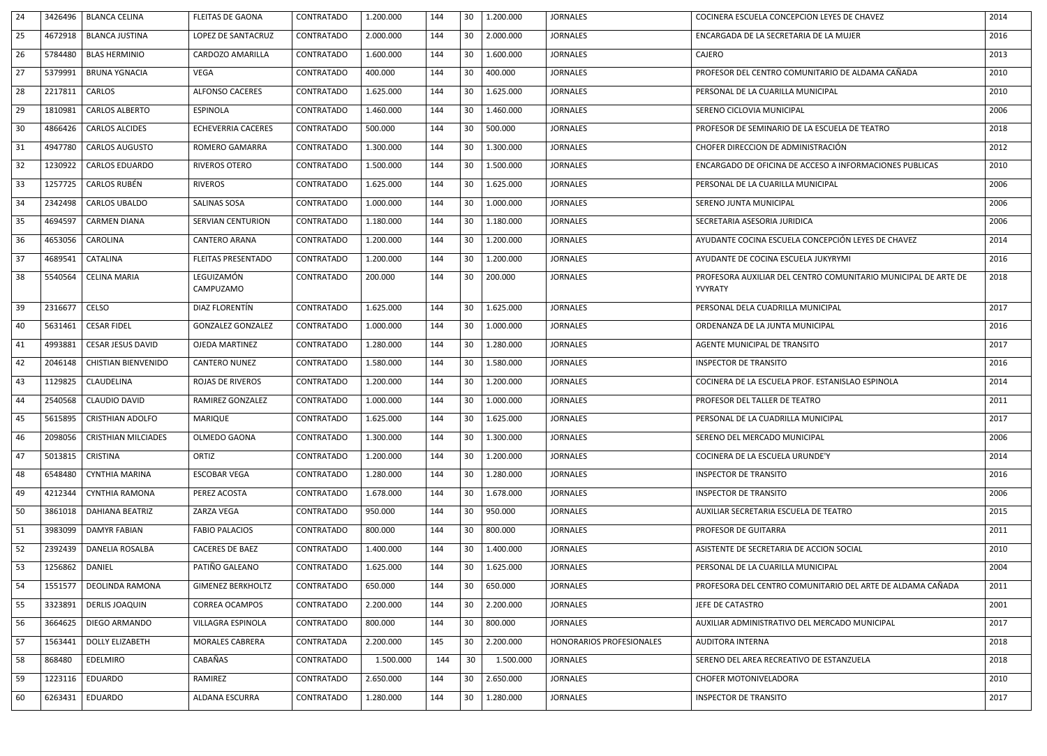| 30<br><b>BLANCA JUSTINA</b><br>LOPEZ DE SANTACRUZ<br>2.000.000<br>2.000.000<br><b>JORNALES</b><br>25<br>4672918<br>CONTRATADO<br>144<br>ENCARGADA DE LA SECRETARIA DE LA MUJER<br>26<br><b>BLAS HERMINIO</b><br><b>CARDOZO AMARILLA</b><br>CONTRATADO<br>1.600.000<br>144<br>30<br>1.600.000<br><b>JORNALES</b><br>CAJERO<br>5784480<br>30<br>27<br><b>BRUNA YGNACIA</b><br>400.000<br>144<br>400.000<br><b>JORNALES</b><br><b>VEGA</b><br>CONTRATADO<br>PROFESOR DEL CENTRO COMUNITARIO DE ALDAMA CAÑADA<br>5379991<br>CARLOS<br><b>JORNALES</b><br>28<br>2217811<br><b>ALFONSO CACERES</b><br>CONTRATADO<br>1.625.000<br>144<br>30<br>1.625.000<br>PERSONAL DE LA CUARILLA MUNICIPAL<br>29<br><b>CARLOS ALBERTO</b><br>1.460.000<br>30<br>1.460.000<br><b>JORNALES</b><br>1810981<br><b>ESPINOLA</b><br>CONTRATADO<br>144<br>SERENO CICLOVIA MUNICIPAL | 2016<br>2013<br>2010<br>2010<br>2006<br>2018<br>2012<br>2010 |
|----------------------------------------------------------------------------------------------------------------------------------------------------------------------------------------------------------------------------------------------------------------------------------------------------------------------------------------------------------------------------------------------------------------------------------------------------------------------------------------------------------------------------------------------------------------------------------------------------------------------------------------------------------------------------------------------------------------------------------------------------------------------------------------------------------------------------------------------------------|--------------------------------------------------------------|
|                                                                                                                                                                                                                                                                                                                                                                                                                                                                                                                                                                                                                                                                                                                                                                                                                                                          |                                                              |
|                                                                                                                                                                                                                                                                                                                                                                                                                                                                                                                                                                                                                                                                                                                                                                                                                                                          |                                                              |
|                                                                                                                                                                                                                                                                                                                                                                                                                                                                                                                                                                                                                                                                                                                                                                                                                                                          |                                                              |
|                                                                                                                                                                                                                                                                                                                                                                                                                                                                                                                                                                                                                                                                                                                                                                                                                                                          |                                                              |
|                                                                                                                                                                                                                                                                                                                                                                                                                                                                                                                                                                                                                                                                                                                                                                                                                                                          |                                                              |
| 30<br><b>CARLOS ALCIDES</b><br>500.000<br>500.000<br><b>JORNALES</b><br>30<br>4866426<br><b>ECHEVERRIA CACERES</b><br>CONTRATADO<br>144<br>PROFESOR DE SEMINARIO DE LA ESCUELA DE TEATRO                                                                                                                                                                                                                                                                                                                                                                                                                                                                                                                                                                                                                                                                 |                                                              |
| 31<br><b>CARLOS AUGUSTO</b><br>CONTRATADO<br>1.300.000<br>144<br>30<br>1.300.000<br><b>JORNALES</b><br>CHOFER DIRECCION DE ADMINISTRACIÓN<br>4947780<br><b>ROMERO GAMARRA</b>                                                                                                                                                                                                                                                                                                                                                                                                                                                                                                                                                                                                                                                                            |                                                              |
| 32<br>1230922<br><b>CARLOS EDUARDO</b><br>1.500.000<br>30<br><b>JORNALES</b><br><b>RIVEROS OTERO</b><br>CONTRATADO<br>144<br>1.500.000<br>ENCARGADO DE OFICINA DE ACCESO A INFORMACIONES PUBLICAS                                                                                                                                                                                                                                                                                                                                                                                                                                                                                                                                                                                                                                                        |                                                              |
| CARLOS RUBÉN<br>30<br>33<br>1257725<br>1.625.000<br>144<br>1.625.000<br><b>RIVEROS</b><br>CONTRATADO<br><b>JORNALES</b><br>PERSONAL DE LA CUARILLA MUNICIPAL                                                                                                                                                                                                                                                                                                                                                                                                                                                                                                                                                                                                                                                                                             | 2006                                                         |
| 34<br>2342498<br><b>CARLOS UBALDO</b><br>1.000.000<br>144<br>30<br>1.000.000<br><b>JORNALES</b><br><b>SALINAS SOSA</b><br>CONTRATADO<br>SERENO JUNTA MUNICIPAL                                                                                                                                                                                                                                                                                                                                                                                                                                                                                                                                                                                                                                                                                           | 2006                                                         |
| 35<br>1.180.000<br>144<br>30<br>1.180.000<br><b>JORNALES</b><br>4694597<br><b>CARMEN DIANA</b><br><b>SERVIAN CENTURION</b><br>CONTRATADO<br>SECRETARIA ASESORIA JURIDICA                                                                                                                                                                                                                                                                                                                                                                                                                                                                                                                                                                                                                                                                                 | 2006                                                         |
| 30<br>36<br>CAROLINA<br>AYUDANTE COCINA ESCUELA CONCEPCIÓN LEYES DE CHAVEZ<br>4653056<br><b>CANTERO ARANA</b><br>CONTRATADO<br>1.200.000<br>144<br>1.200.000<br><b>JORNALES</b>                                                                                                                                                                                                                                                                                                                                                                                                                                                                                                                                                                                                                                                                          | 2014                                                         |
| 37<br>30<br>4689541<br>CATALINA<br><b>FLEITAS PRESENTADO</b><br>CONTRATADO<br>1.200.000<br>144<br>1.200.000<br><b>JORNALES</b><br>AYUDANTE DE COCINA ESCUELA JUKYRYMI                                                                                                                                                                                                                                                                                                                                                                                                                                                                                                                                                                                                                                                                                    | 2016                                                         |
| LEGUIZAMÓN<br>144<br>30<br>200.000<br><b>JORNALES</b><br>38<br>5540564<br><b>CELINA MARIA</b><br>CONTRATADO<br>200.000<br>PROFESORA AUXILIAR DEL CENTRO COMUNITARIO MUNICIPAL DE ARTE DE<br>CAMPUZAMO<br><b>YVYRATY</b>                                                                                                                                                                                                                                                                                                                                                                                                                                                                                                                                                                                                                                  | 2018                                                         |
| 39<br>2316677   CELSO<br>30<br>DIAZ FLORENTÍN<br>1.625.000<br>1.625.000<br><b>JORNALES</b><br>CONTRATADO<br>144<br>PERSONAL DELA CUADRILLA MUNICIPAL                                                                                                                                                                                                                                                                                                                                                                                                                                                                                                                                                                                                                                                                                                     | 2017                                                         |
| <b>CESAR FIDEL</b><br>30<br>5631461<br><b>GONZALEZ GONZALEZ</b><br>CONTRATADO<br>1.000.000<br>144<br>1.000.000<br><b>JORNALES</b><br>ORDENANZA DE LA JUNTA MUNICIPAL<br>40                                                                                                                                                                                                                                                                                                                                                                                                                                                                                                                                                                                                                                                                               | 2016                                                         |
| 30<br>1.280.000<br>41<br>4993881<br><b>CESAR JESUS DAVID</b><br><b>OJEDA MARTINEZ</b><br>CONTRATADO<br>1.280.000<br>144<br><b>JORNALES</b><br>AGENTE MUNICIPAL DE TRANSITO                                                                                                                                                                                                                                                                                                                                                                                                                                                                                                                                                                                                                                                                               | 2017                                                         |
| 30<br>1.580.000<br><b>JORNALES</b><br>42<br>CONTRATADO<br>1.580.000<br>144<br><b>INSPECTOR DE TRANSITO</b><br>2046148   CHISTIAN BIENVENIDO<br><b>CANTERO NUNEZ</b>                                                                                                                                                                                                                                                                                                                                                                                                                                                                                                                                                                                                                                                                                      | 2016                                                         |
| 43<br>30<br>1.200.000<br>1129825<br>CLAUDELINA<br><b>ROJAS DE RIVEROS</b><br>CONTRATADO<br>1.200.000<br>144<br><b>JORNALES</b><br>COCINERA DE LA ESCUELA PROF. ESTANISLAO ESPINOLA                                                                                                                                                                                                                                                                                                                                                                                                                                                                                                                                                                                                                                                                       | 2014                                                         |
| 30<br>44<br>2540568   CLAUDIO DAVID<br>RAMIREZ GONZALEZ<br>CONTRATADO<br>1.000.000<br>144<br>1.000.000<br><b>JORNALES</b><br>PROFESOR DEL TALLER DE TEATRO                                                                                                                                                                                                                                                                                                                                                                                                                                                                                                                                                                                                                                                                                               | 2011                                                         |
| <b>CRISTHIAN ADOLFO</b><br>30<br><b>JORNALES</b><br>45<br>5615895<br><b>MARIQUE</b><br>CONTRATADO<br>1.625.000<br>144<br>1.625.000<br>PERSONAL DE LA CUADRILLA MUNICIPAL                                                                                                                                                                                                                                                                                                                                                                                                                                                                                                                                                                                                                                                                                 | 2017                                                         |
| 46<br>2098056<br><b>CRISTHIAN MILCIADES</b><br>OLMEDO GAONA<br>CONTRATADO<br>1.300.000<br>144<br>30<br>1.300.000<br><b>JORNALES</b><br>SERENO DEL MERCADO MUNICIPAL                                                                                                                                                                                                                                                                                                                                                                                                                                                                                                                                                                                                                                                                                      | 2006                                                         |
| <b>CRISTINA</b><br>CONTRATADO<br>1.200.000<br>30<br>1.200.000<br><b>JORNALES</b><br>47<br>5013815<br>ORTIZ<br>144<br>COCINERA DE LA ESCUELA URUNDE'Y                                                                                                                                                                                                                                                                                                                                                                                                                                                                                                                                                                                                                                                                                                     | 2014                                                         |
| 48<br><b>CYNTHIA MARINA</b><br><b>ESCOBAR VEGA</b><br>CONTRATADO<br>1.280.000<br>144<br>30<br>1.280.000<br><b>JORNALES</b><br><b>INSPECTOR DE TRANSITO</b><br>6548480                                                                                                                                                                                                                                                                                                                                                                                                                                                                                                                                                                                                                                                                                    | 2016                                                         |
| 1.678.000<br>49<br>144<br>30<br>1.678.000<br><b>JORNALES</b><br><b>INSPECTOR DE TRANSITO</b><br>4212344<br><b>CYNTHIA RAMONA</b><br>PEREZ ACOSTA<br>CONTRATADO                                                                                                                                                                                                                                                                                                                                                                                                                                                                                                                                                                                                                                                                                           | 2006                                                         |
| 30<br>50<br>950.000<br>950.000<br><b>JORNALES</b><br>3861018<br><b>DAHIANA BEATRIZ</b><br>ZARZA VEGA<br>CONTRATADO<br>144<br>AUXILIAR SECRETARIA ESCUELA DE TEATRO                                                                                                                                                                                                                                                                                                                                                                                                                                                                                                                                                                                                                                                                                       | 2015                                                         |
| 51<br>800.000<br>144<br>30<br>800.000<br>3983099<br><b>DAMYR FABIAN</b><br><b>FABIO PALACIOS</b><br>CONTRATADO<br><b>JORNALES</b><br>PROFESOR DE GUITARRA                                                                                                                                                                                                                                                                                                                                                                                                                                                                                                                                                                                                                                                                                                | 2011                                                         |
| 52<br>30<br>2392439<br><b>DANELIA ROSALBA</b><br>1.400.000<br>144<br><b>JORNALES</b><br><b>CACERES DE BAEZ</b><br>CONTRATADO<br>1.400.000<br>ASISTENTE DE SECRETARIA DE ACCION SOCIAL                                                                                                                                                                                                                                                                                                                                                                                                                                                                                                                                                                                                                                                                    | 2010                                                         |
| 53<br>1256862<br>1.625.000<br>30<br><b>DANIEL</b><br>PATIÑO GALEANO<br>CONTRATADO<br>144<br>1.625.000<br><b>JORNALES</b><br>PERSONAL DE LA CUARILLA MUNICIPAL                                                                                                                                                                                                                                                                                                                                                                                                                                                                                                                                                                                                                                                                                            | 2004                                                         |
| 54<br>650.000<br>144<br>30<br>650.000<br>1551577<br>DEOLINDA RAMONA<br><b>GIMENEZ BERKHOLTZ</b><br>CONTRATADO<br><b>JORNALES</b><br>PROFESORA DEL CENTRO COMUNITARIO DEL ARTE DE ALDAMA CAÑADA                                                                                                                                                                                                                                                                                                                                                                                                                                                                                                                                                                                                                                                           | 2011                                                         |
| 55<br>30<br>2.200.000<br>3323891<br><b>DERLIS JOAQUIN</b><br>CONTRATADO<br>2.200.000<br>144<br><b>JORNALES</b><br><b>CORREA OCAMPOS</b><br>JEFE DE CATASTRO                                                                                                                                                                                                                                                                                                                                                                                                                                                                                                                                                                                                                                                                                              | 2001                                                         |
| 30<br>56<br>800.000<br>144<br>800.000<br>3664625<br>DIEGO ARMANDO<br>VILLAGRA ESPINOLA<br>CONTRATADO<br><b>JORNALES</b><br>AUXILIAR ADMINISTRATIVO DEL MERCADO MUNICIPAL                                                                                                                                                                                                                                                                                                                                                                                                                                                                                                                                                                                                                                                                                 | 2017                                                         |
| 30<br>57<br><b>DOLLY ELIZABETH</b><br><b>MORALES CABRERA</b><br>2.200.000<br>2.200.000<br>HONORARIOS PROFESIONALES<br>AUDITORA INTERNA<br>1563441<br>CONTRATADA<br>145                                                                                                                                                                                                                                                                                                                                                                                                                                                                                                                                                                                                                                                                                   | 2018                                                         |
| 58<br><b>EDELMIRO</b><br>CABAÑAS<br>CONTRATADO<br>144<br>30<br><b>JORNALES</b><br>868480<br>1.500.000<br>1.500.000<br>SERENO DEL AREA RECREATIVO DE ESTANZUELA                                                                                                                                                                                                                                                                                                                                                                                                                                                                                                                                                                                                                                                                                           | 2018                                                         |
| EDUARDO<br>30<br>59<br>1223116<br>RAMIREZ<br>CONTRATADO<br>2.650.000<br>144<br>2.650.000<br><b>JORNALES</b><br><b>CHOFER MOTONIVELADORA</b>                                                                                                                                                                                                                                                                                                                                                                                                                                                                                                                                                                                                                                                                                                              | 2010                                                         |
| EDUARDO<br>60<br>6263431<br>ALDANA ESCURRA<br>CONTRATADO<br>1.280.000<br>30<br>1.280.000<br><b>JORNALES</b><br><b>INSPECTOR DE TRANSITO</b><br>144                                                                                                                                                                                                                                                                                                                                                                                                                                                                                                                                                                                                                                                                                                       | 2017                                                         |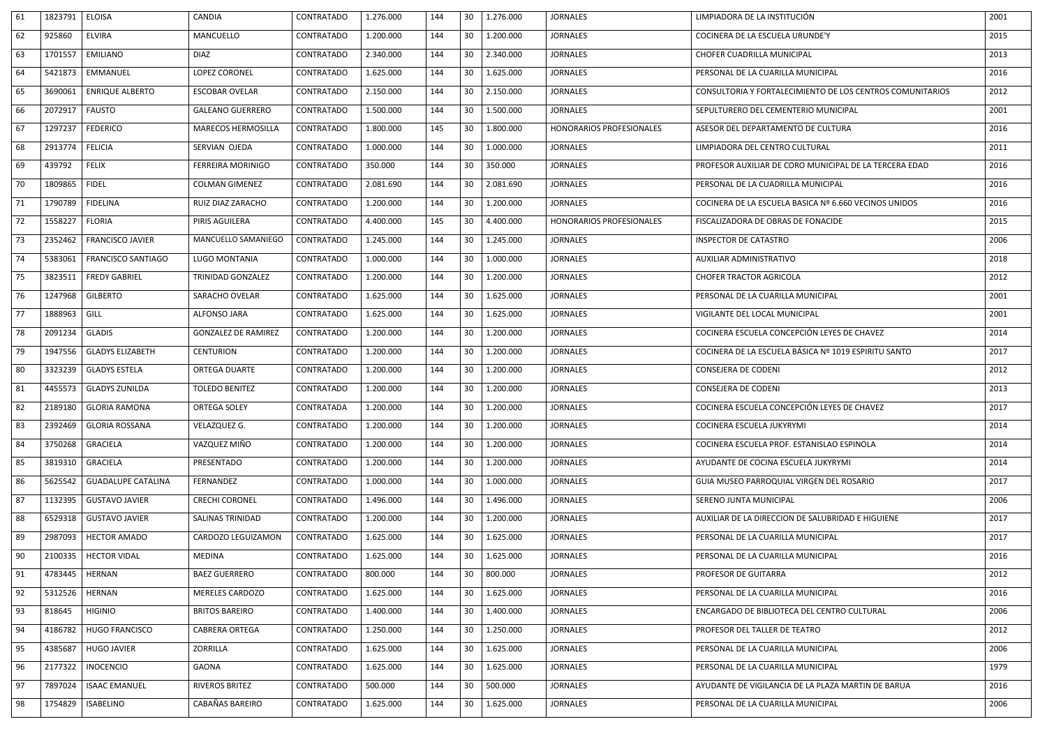| 61 | 1823791 | <b>ELOISA</b>             | <b>CANDIA</b>              | <b>CONTRATADO</b> | 1.276.000 | 144 | 30              | 1.276.000    | <b>JORNALES</b>                 | LIMPIADORA DE LA INSTITUCIÓN                              | 2001 |
|----|---------|---------------------------|----------------------------|-------------------|-----------|-----|-----------------|--------------|---------------------------------|-----------------------------------------------------------|------|
| 62 | 925860  | <b>ELVIRA</b>             | MANCUELLO                  | CONTRATADO        | 1.200.000 | 144 | 30              | 1.200.000    | <b>JORNALES</b>                 | COCINERA DE LA ESCUELA URUNDE'Y                           | 2015 |
| 63 | 1701557 | <b>EMILIANO</b>           | <b>DIAZ</b>                | <b>CONTRATADO</b> | 2.340.000 | 144 | 30 <sup>°</sup> | 2.340.000    | <b>JORNALES</b>                 | CHOFER CUADRILLA MUNICIPAL                                | 2013 |
| 64 | 5421873 | EMMANUEL                  | <b>LOPEZ CORONEL</b>       | CONTRATADO        | 1.625.000 | 144 | 30              | 1.625.000    | <b>JORNALES</b>                 | PERSONAL DE LA CUARILLA MUNICIPAL                         | 2016 |
| 65 | 3690061 | <b>ENRIQUE ALBERTO</b>    | <b>ESCOBAR OVELAR</b>      | CONTRATADO        | 2.150.000 | 144 | 30              | 2.150.000    | <b>JORNALES</b>                 | CONSULTORIA Y FORTALECIMIENTO DE LOS CENTROS COMUNITARIOS | 2012 |
| 66 | 2072917 | <b>FAUSTO</b>             | <b>GALEANO GUERRERO</b>    | <b>CONTRATADO</b> | 1.500.000 | 144 | 30              | 1.500.000    | <b>JORNALES</b>                 | SEPULTURERO DEL CEMENTERIO MUNICIPAL                      | 2001 |
| 67 | 1297237 | <b>FEDERICO</b>           | <b>MARECOS HERMOSILLA</b>  | CONTRATADO        | 1.800.000 | 145 | 30              | 1.800.000    | <b>HONORARIOS PROFESIONALES</b> | ASESOR DEL DEPARTAMENTO DE CULTURA                        | 2016 |
| 68 | 2913774 | <b>FELICIA</b>            | SERVIAN OJEDA              | CONTRATADO        | 1.000.000 | 144 | 30              | 1.000.000    | <b>JORNALES</b>                 | LIMPIADORA DEL CENTRO CULTURAL                            | 2011 |
| 69 | 439792  | <b>FELIX</b>              | <b>FERREIRA MORINIGO</b>   | <b>CONTRATADO</b> | 350.000   | 144 | 30              | 350.000      | <b>JORNALES</b>                 | PROFESOR AUXILIAR DE CORO MUNICIPAL DE LA TERCERA EDAD    | 2016 |
| 70 | 1809865 | <b>FIDEL</b>              | <b>COLMAN GIMENEZ</b>      | CONTRATADO        | 2.081.690 | 144 | 30 <sup>°</sup> | 2.081.690    | <b>JORNALES</b>                 | PERSONAL DE LA CUADRILLA MUNICIPAL                        | 2016 |
| 71 | 1790789 | <b>FIDELINA</b>           | RUIZ DIAZ ZARACHO          | CONTRATADO        | 1.200.000 | 144 | 30              | 1.200.000    | <b>JORNALES</b>                 | COCINERA DE LA ESCUELA BASICA Nº 6.660 VECINOS UNIDOS     | 2016 |
| 72 | 1558227 | <b>FLORIA</b>             | PIRIS AGUILERA             | CONTRATADO        | 4.400.000 | 145 | 30              | 4.400.000    | HONORARIOS PROFESIONALES        | FISCALIZADORA DE OBRAS DE FONACIDE                        | 2015 |
| 73 | 2352462 | <b>FRANCISCO JAVIER</b>   | MANCUELLO SAMANIEGO        | CONTRATADO        | 1.245.000 | 144 | 30              | 1.245.000    | <b>JORNALES</b>                 | <b>INSPECTOR DE CATASTRO</b>                              | 2006 |
| 74 | 5383061 | <b>FRANCISCO SANTIAGO</b> | <b>LUGO MONTANIA</b>       | CONTRATADO        | 1.000.000 | 144 | 30              | 1.000.000    | <b>JORNALES</b>                 | AUXILIAR ADMINISTRATIVO                                   | 2018 |
| 75 | 3823511 | <b>FREDY GABRIEL</b>      | TRINIDAD GONZALEZ          | <b>CONTRATADO</b> | 1.200.000 | 144 | 30              | 1.200.000    | <b>JORNALES</b>                 | <b>CHOFER TRACTOR AGRICOLA</b>                            | 2012 |
| 76 | 1247968 | <b>GILBERTO</b>           | SARACHO OVELAR             | <b>CONTRATADO</b> | 1.625.000 | 144 | 30              | 1.625.000    | <b>JORNALES</b>                 | PERSONAL DE LA CUARILLA MUNICIPAL                         | 2001 |
| 77 | 1888963 | GILL                      | ALFONSO JARA               | CONTRATADO        | 1.625.000 | 144 | 30              | 1.625.000    | <b>JORNALES</b>                 | VIGILANTE DEL LOCAL MUNICIPAL                             | 2001 |
| 78 | 2091234 | <b>GLADIS</b>             | <b>GONZALEZ DE RAMIREZ</b> | CONTRATADO        | 1.200.000 | 144 | 30              | 1.200.000    | <b>JORNALES</b>                 | COCINERA ESCUELA CONCEPCIÓN LEYES DE CHAVEZ               | 2014 |
| 79 | 1947556 | GLADYS ELIZABETH          | <b>CENTURION</b>           | CONTRATADO        | 1.200.000 | 144 | 30              | 1.200.000    | <b>JORNALES</b>                 | COCINERA DE LA ESCUELA BÁSICA Nº 1019 ESPIRITU SANTO      | 2017 |
| 80 |         | 3323239   GLADYS ESTELA   | ORTEGA DUARTE              | CONTRATADO        | 1.200.000 | 144 |                 | 30 1.200.000 | <b>JORNALES</b>                 | <b>CONSEJERA DE CODENI</b>                                | 2012 |
| 81 |         | 4455573 GLADYS ZUNILDA    | <b>TOLEDO BENITEZ</b>      | <b>CONTRATADO</b> | 1.200.000 | 144 | 30              | 1.200.000    | <b>JORNALES</b>                 | <b>CONSEJERA DE CODENI</b>                                | 2013 |
| 82 | 2189180 | GLORIA RAMONA             | ORTEGA SOLEY               | CONTRATADA        | 1.200.000 | 144 | 30              | 1.200.000    | <b>JORNALES</b>                 | COCINERA ESCUELA CONCEPCIÓN LEYES DE CHAVEZ               | 2017 |
| 83 | 2392469 | <b>GLORIA ROSSANA</b>     | VELAZQUEZ G.               | CONTRATADO        | 1.200.000 | 144 | 30              | 1.200.000    | <b>JORNALES</b>                 | COCINERA ESCUELA JUKYRYMI                                 | 2014 |
| 84 | 3750268 | <b>GRACIELA</b>           | VAZQUEZ MIÑO               | CONTRATADO        | 1.200.000 | 144 | 30              | 1.200.000    | <b>JORNALES</b>                 | COCINERA ESCUELA PROF. ESTANISLAO ESPINOLA                | 2014 |
| 85 | 3819310 | <b>GRACIELA</b>           | PRESENTADO                 | CONTRATADO        | 1.200.000 | 144 | 30              | 1.200.000    | <b>JORNALES</b>                 | AYUDANTE DE COCINA ESCUELA JUKYRYMI                       | 2014 |
| 86 | 5625542 | <b>GUADALUPE CATALINA</b> | FERNANDEZ                  | <b>CONTRATADO</b> | 1.000.000 | 144 | 30              | 1.000.000    | <b>JORNALES</b>                 | GUIA MUSEO PARROQUIAL VIRGEN DEL ROSARIO                  | 2017 |
| 87 | 1132395 | <b>GUSTAVO JAVIER</b>     | <b>CRECHI CORONEL</b>      | CONTRATADO        | 1.496.000 | 144 | 30              | 1.496.000    | <b>JORNALES</b>                 | SERENO JUNTA MUNICIPAL                                    | 2006 |
| 88 | 6529318 | <b>GUSTAVO JAVIER</b>     | <b>SALINAS TRINIDAD</b>    | CONTRATADO        | 1.200.000 | 144 | 30              | 1.200.000    | <b>JORNALES</b>                 | AUXILIAR DE LA DIRECCION DE SALUBRIDAD E HIGUIENE         | 2017 |
| 89 | 2987093 | <b>HECTOR AMADO</b>       | CARDOZO LEGUIZAMON         | CONTRATADO        | 1.625.000 | 144 | 30              | 1.625.000    | <b>JORNALES</b>                 | PERSONAL DE LA CUARILLA MUNICIPAL                         | 2017 |
| 90 | 2100335 | <b>HECTOR VIDAL</b>       | MEDINA                     | <b>CONTRATADO</b> | 1.625.000 | 144 | 30              | 1.625.000    | <b>JORNALES</b>                 | PERSONAL DE LA CUARILLA MUNICIPAL                         | 2016 |
| 91 | 4783445 | <b>HERNAN</b>             | <b>BAEZ GUERRERO</b>       | CONTRATADO        | 800.000   | 144 | 30              | 800.000      | <b>JORNALES</b>                 | PROFESOR DE GUITARRA                                      | 2012 |
| 92 | 5312526 | <b>HERNAN</b>             | <b>MERELES CARDOZO</b>     | CONTRATADO        | 1.625.000 | 144 | 30              | 1.625.000    | <b>JORNALES</b>                 | PERSONAL DE LA CUARILLA MUNICIPAL                         | 2016 |
| 93 | 818645  | <b>HIGINIO</b>            | <b>BRITOS BAREIRO</b>      | CONTRATADO        | 1.400.000 | 144 | 30              | 1.400.000    | <b>JORNALES</b>                 | ENCARGADO DE BIBLIOTECA DEL CENTRO CULTURAL               | 2006 |
| 94 | 4186782 | <b>HUGO FRANCISCO</b>     | <b>CABRERA ORTEGA</b>      | CONTRATADO        | 1.250.000 | 144 | 30              | 1.250.000    | <b>JORNALES</b>                 | PROFESOR DEL TALLER DE TEATRO                             | 2012 |
| 95 | 4385687 | <b>HUGO JAVIER</b>        | ZORRILLA                   | CONTRATADO        | 1.625.000 | 144 | 30              | 1.625.000    | <b>JORNALES</b>                 | PERSONAL DE LA CUARILLA MUNICIPAL                         | 2006 |
| 96 | 2177322 | <b>INOCENCIO</b>          | GAONA                      | CONTRATADO        | 1.625.000 | 144 | 30              | 1.625.000    | <b>JORNALES</b>                 | PERSONAL DE LA CUARILLA MUNICIPAL                         | 1979 |
| 97 | 7897024 | <b>ISAAC EMANUEL</b>      | <b>RIVEROS BRITEZ</b>      | <b>CONTRATADO</b> | 500.000   | 144 | 30              | 500.000      | <b>JORNALES</b>                 | AYUDANTE DE VIGILANCIA DE LA PLAZA MARTIN DE BARUA        | 2016 |
| 98 | 1754829 | <b>ISABELINO</b>          | CABAÑAS BAREIRO            | CONTRATADO        | 1.625.000 | 144 | 30 <sup>°</sup> | 1.625.000    | <b>JORNALES</b>                 | PERSONAL DE LA CUARILLA MUNICIPAL                         | 2006 |
|    |         |                           |                            |                   |           |     |                 |              |                                 |                                                           |      |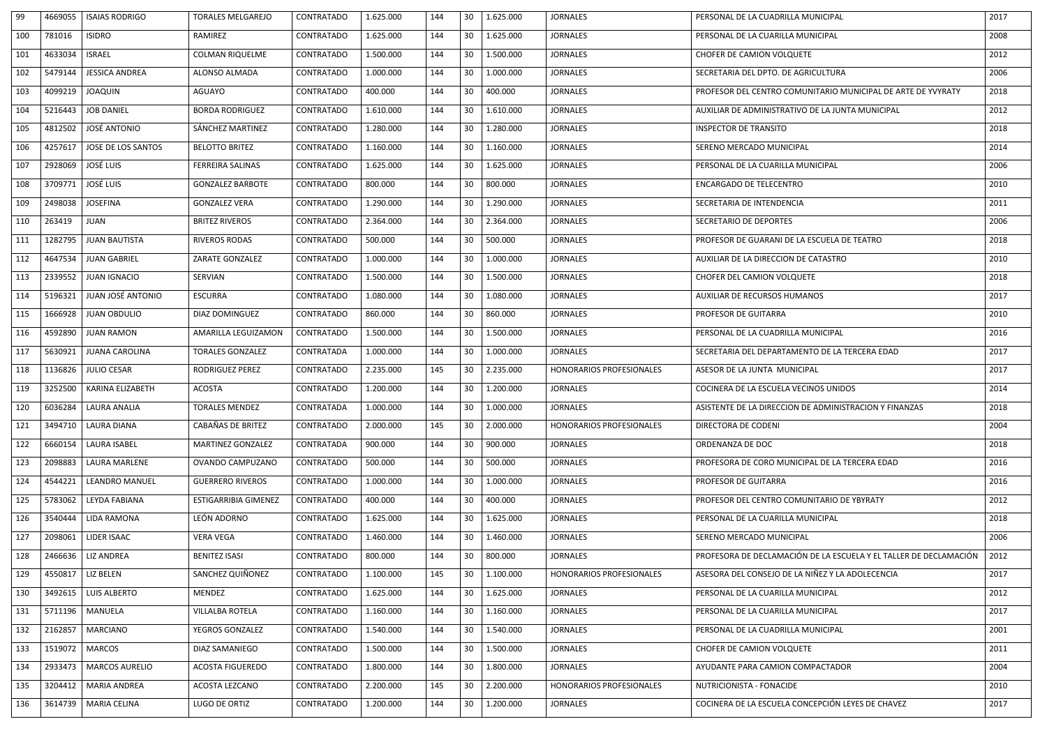| 99  | 4669055 | <b>ISAIAS RODRIGO</b>    | <b>TORALES MELGAREJO</b>    | CONTRATADO | 1.625.000 | 144 | 30 | 1.625.000      | <b>JORNALES</b>          | PERSONAL DE LA CUADRILLA MUNICIPAL                                | 2017 |
|-----|---------|--------------------------|-----------------------------|------------|-----------|-----|----|----------------|--------------------------|-------------------------------------------------------------------|------|
| 100 | 781016  | <b>ISIDRO</b>            | RAMIREZ                     | CONTRATADO | 1.625.000 | 144 | 30 | 1.625.000      | <b>JORNALES</b>          | PERSONAL DE LA CUARILLA MUNICIPAL                                 | 2008 |
| 101 | 4633034 | <b>ISRAEL</b>            | <b>COLMAN RIQUELME</b>      | CONTRATADO | 1.500.000 | 144 | 30 | 1.500.000      | <b>JORNALES</b>          | CHOFER DE CAMION VOLQUETE                                         | 2012 |
| 102 | 5479144 | <b>JESSICA ANDREA</b>    | ALONSO ALMADA               | CONTRATADO | 1.000.000 | 144 | 30 | 1.000.000      | <b>JORNALES</b>          | SECRETARIA DEL DPTO. DE AGRICULTURA                               | 2006 |
| 103 | 4099219 | <b>JOAQUIN</b>           | AGUAYO                      | CONTRATADO | 400.000   | 144 | 30 | 400.000        | <b>JORNALES</b>          | PROFESOR DEL CENTRO COMUNITARIO MUNICIPAL DE ARTE DE YVYRATY      | 2018 |
| 104 | 5216443 | <b>JOB DANIEL</b>        | <b>BORDA RODRIGUEZ</b>      | CONTRATADO | 1.610.000 | 144 | 30 | 1.610.000      | <b>JORNALES</b>          | AUXILIAR DE ADMINISTRATIVO DE LA JUNTA MUNICIPAL                  | 2012 |
| 105 | 4812502 | <b>JOSÉ ANTONIO</b>      | SÁNCHEZ MARTINEZ            | CONTRATADO | 1.280.000 | 144 | 30 | 1.280.000      | <b>JORNALES</b>          | <b>INSPECTOR DE TRANSITO</b>                                      | 2018 |
| 106 | 4257617 | JOSE DE LOS SANTOS       | <b>BELOTTO BRITEZ</b>       | CONTRATADO | 1.160.000 | 144 | 30 | 1.160.000      | <b>JORNALES</b>          | SERENO MERCADO MUNICIPAL                                          | 2014 |
| 107 | 2928069 | <b>JOSÉ LUIS</b>         | <b>FERREIRA SALINAS</b>     | CONTRATADO | 1.625.000 | 144 | 30 | 1.625.000      | <b>JORNALES</b>          | PERSONAL DE LA CUARILLA MUNICIPAL                                 | 2006 |
| 108 | 3709771 | <b>JOSÉ LUIS</b>         | <b>GONZALEZ BARBOTE</b>     | CONTRATADO | 800.000   | 144 | 30 | 800.000        | <b>JORNALES</b>          | <b>ENCARGADO DE TELECENTRO</b>                                    | 2010 |
| 109 | 2498038 | <b>JOSEFINA</b>          | <b>GONZALEZ VERA</b>        | CONTRATADO | 1.290.000 | 144 | 30 | 1.290.000      | <b>JORNALES</b>          | SECRETARIA DE INTENDENCIA                                         | 2011 |
| 110 | 263419  | <b>JUAN</b>              | <b>BRITEZ RIVEROS</b>       | CONTRATADO | 2.364.000 | 144 | 30 | 2.364.000      | <b>JORNALES</b>          | SECRETARIO DE DEPORTES                                            | 2006 |
| 111 | 1282795 | <b>JUAN BAUTISTA</b>     | <b>RIVEROS RODAS</b>        | CONTRATADO | 500.000   | 144 | 30 | 500.000        | <b>JORNALES</b>          | PROFESOR DE GUARANI DE LA ESCUELA DE TEATRO                       | 2018 |
| 112 | 4647534 | <b>JUAN GABRIEL</b>      | ZARATE GONZALEZ             | CONTRATADO | 1.000.000 | 144 | 30 | 1.000.000      | <b>JORNALES</b>          | AUXILIAR DE LA DIRECCION DE CATASTRO                              | 2010 |
| 113 | 2339552 | <b>JUAN IGNACIO</b>      | SERVIAN                     | CONTRATADO | 1.500.000 | 144 | 30 | 1.500.000      | <b>JORNALES</b>          | CHOFER DEL CAMION VOLQUETE                                        | 2018 |
| 114 | 5196321 | JUAN JOSÉ ANTONIO        | <b>ESCURRA</b>              | CONTRATADO | 1.080.000 | 144 | 30 | 1.080.000      | <b>JORNALES</b>          | AUXILIAR DE RECURSOS HUMANOS                                      | 2017 |
| 115 | 1666928 | <b>JUAN OBDULIO</b>      | DIAZ DOMINGUEZ              | CONTRATADO | 860.000   | 144 | 30 | 860.000        | <b>JORNALES</b>          | PROFESOR DE GUITARRA                                              | 2010 |
| 116 | 4592890 | <b>JUAN RAMON</b>        | AMARILLA LEGUIZAMON         | CONTRATADO | 1.500.000 | 144 | 30 | 1.500.000      | <b>JORNALES</b>          | PERSONAL DE LA CUADRILLA MUNICIPAL                                | 2016 |
| 117 | 5630921 | <b>JUANA CAROLINA</b>    | <b>TORALES GONZALEZ</b>     | CONTRATADA | 1.000.000 | 144 | 30 | 1.000.000      | <b>JORNALES</b>          | SECRETARIA DEL DEPARTAMENTO DE LA TERCERA EDAD                    | 2017 |
| 118 |         | 1136826   JULIO CESAR    | <b>RODRIGUEZ PEREZ</b>      | CONTRATADO | 2.235.000 | 145 |    | $30$ 2.235.000 | HONORARIOS PROFESIONALES | ASESOR DE LA JUNTA MUNICIPAL                                      | 2017 |
| 119 | 3252500 | KARINA ELIZABETH         | <b>ACOSTA</b>               | CONTRATADO | 1.200.000 | 144 | 30 | 1.200.000      | <b>JORNALES</b>          | COCINERA DE LA ESCUELA VECINOS UNIDOS                             | 2014 |
| 120 | 6036284 | <b>LAURA ANALIA</b>      | <b>TORALES MENDEZ</b>       | CONTRATADA | 1.000.000 | 144 | 30 | 1.000.000      | <b>JORNALES</b>          | ASISTENTE DE LA DIRECCION DE ADMINISTRACION Y FINANZAS            | 2018 |
| 121 | 3494710 | LAURA DIANA              | CABAÑAS DE BRITEZ           | CONTRATADO | 2.000.000 | 145 | 30 | 2.000.000      | HONORARIOS PROFESIONALES | DIRECTORA DE CODENI                                               | 2004 |
| 122 | 6660154 | <b>LAURA ISABEL</b>      | <b>MARTINEZ GONZALEZ</b>    | CONTRATADA | 900.000   | 144 | 30 | 900.000        | <b>JORNALES</b>          | ORDENANZA DE DOC                                                  | 2018 |
| 123 | 2098883 | LAURA MARLENE            | OVANDO CAMPUZANO            | CONTRATADO | 500.000   | 144 | 30 | 500.000        | <b>JORNALES</b>          | PROFESORA DE CORO MUNICIPAL DE LA TERCERA EDAD                    | 2016 |
| 124 | 4544221 | <b>LEANDRO MANUEL</b>    | <b>GUERRERO RIVEROS</b>     | CONTRATADO | 1.000.000 | 144 | 30 | 1.000.000      | <b>JORNALES</b>          | PROFESOR DE GUITARRA                                              | 2016 |
| 125 | 5783062 | LEYDA FABIANA            | <b>ESTIGARRIBIA GIMENEZ</b> | CONTRATADO | 400.000   | 144 | 30 | 400.000        | <b>JORNALES</b>          | PROFESOR DEL CENTRO COMUNITARIO DE YBYRATY                        | 2012 |
| 126 | 3540444 | <b>LIDA RAMONA</b>       | LEÓN ADORNO                 | CONTRATADO | 1.625.000 | 144 | 30 | 1.625.000      | <b>JORNALES</b>          | PERSONAL DE LA CUARILLA MUNICIPAL                                 | 2018 |
| 127 | 2098061 | LIDER ISAAC              | <b>VERA VEGA</b>            | CONTRATADO | 1.460.000 | 144 | 30 | 1.460.000      | <b>JORNALES</b>          | SERENO MERCADO MUNICIPAL                                          | 2006 |
| 128 | 2466636 | <b>LIZ ANDREA</b>        | <b>BENITEZ ISASI</b>        | CONTRATADO | 800.000   | 144 | 30 | 800.000        | <b>JORNALES</b>          | PROFESORA DE DECLAMACIÓN DE LA ESCUELA Y EL TALLER DE DECLAMACIÓN | 2012 |
| 129 | 4550817 | <b>LIZ BELEN</b>         | SANCHEZ QUIÑONEZ            | CONTRATADO | 1.100.000 | 145 | 30 | 1.100.000      | HONORARIOS PROFESIONALES | ASESORA DEL CONSEJO DE LA NIÑEZ Y LA ADOLECENCIA                  | 2017 |
| 130 |         | 3492615   LUIS ALBERTO   | <b>MENDEZ</b>               | CONTRATADO | 1.625.000 | 144 | 30 | 1.625.000      | <b>JORNALES</b>          | PERSONAL DE LA CUARILLA MUNICIPAL                                 | 2012 |
| 131 | 5711196 | MANUELA                  | <b>VILLALBA ROTELA</b>      | CONTRATADO | 1.160.000 | 144 | 30 | 1.160.000      | <b>JORNALES</b>          | PERSONAL DE LA CUARILLA MUNICIPAL                                 | 2017 |
| 132 | 2162857 | <b>MARCIANO</b>          | YEGROS GONZALEZ             | CONTRATADO | 1.540.000 | 144 | 30 | 1.540.000      | <b>JORNALES</b>          | PERSONAL DE LA CUADRILLA MUNICIPAL                                | 2001 |
| 133 | 1519072 | <b>MARCOS</b>            | DIAZ SAMANIEGO              | CONTRATADO | 1.500.000 | 144 | 30 | 1.500.000      | <b>JORNALES</b>          | CHOFER DE CAMION VOLQUETE                                         | 2011 |
| 134 |         | 2933473   MARCOS AURELIO | <b>ACOSTA FIGUEREDO</b>     | CONTRATADO | 1.800.000 | 144 | 30 | 1.800.000      | <b>JORNALES</b>          | AYUDANTE PARA CAMION COMPACTADOR                                  | 2004 |
| 135 | 3204412 | <b>MARIA ANDREA</b>      | ACOSTA LEZCANO              | CONTRATADO | 2.200.000 | 145 | 30 | 2.200.000      | HONORARIOS PROFESIONALES | NUTRICIONISTA - FONACIDE                                          | 2010 |
| 136 |         | 3614739   MARIA CELINA   | LUGO DE ORTIZ               | CONTRATADO | 1.200.000 | 144 | 30 | 1.200.000      | <b>JORNALES</b>          | COCINERA DE LA ESCUELA CONCEPCIÓN LEYES DE CHAVEZ                 | 2017 |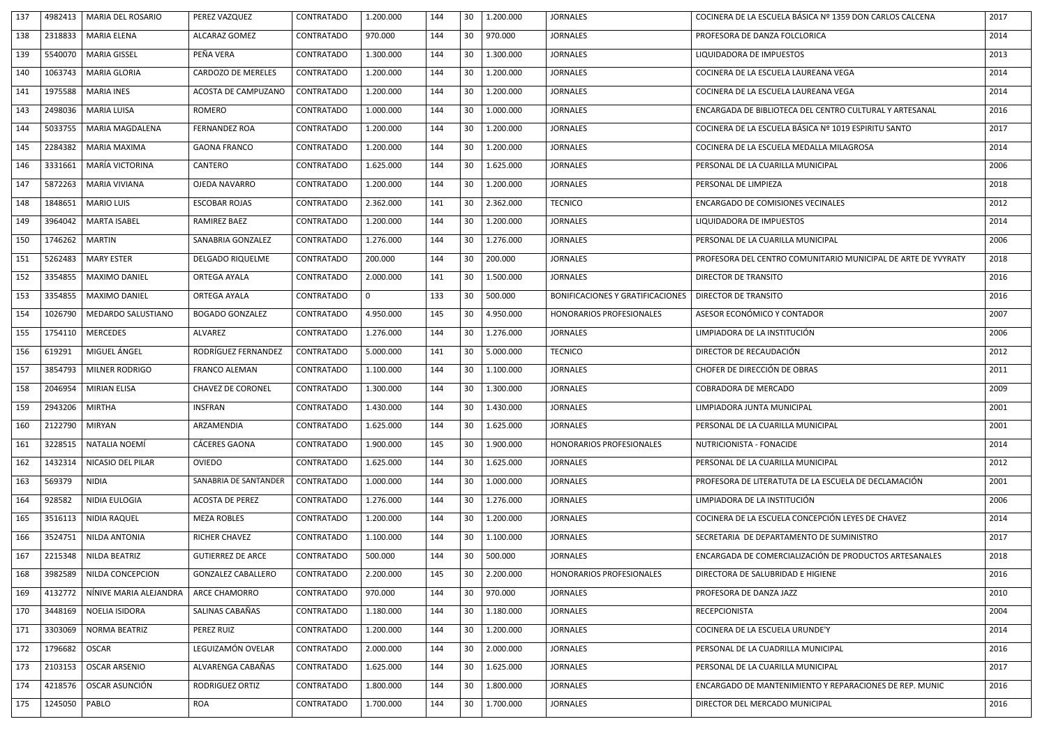| 137 | 4982413 | <b>MARIA DEL ROSARIO</b>  | PEREZ VAZQUEZ             | <b>CONTRATADO</b> | 1.200.000    | 144 | 30 | 1.200.000    | <b>JORNALES</b>                  | COCINERA DE LA ESCUELA BÁSICA Nº 1359 DON CARLOS CALCENA      | 2017 |
|-----|---------|---------------------------|---------------------------|-------------------|--------------|-----|----|--------------|----------------------------------|---------------------------------------------------------------|------|
| 138 | 2318833 | <b>MARIA ELENA</b>        | ALCARAZ GOMEZ             | <b>CONTRATADO</b> | 970.000      | 144 | 30 | 970.000      | <b>JORNALES</b>                  | PROFESORA DE DANZA FOLCLORICA                                 | 2014 |
| 139 | 5540070 | <b>MARIA GISSEL</b>       | PEÑA VERA                 | CONTRATADO        | 1.300.000    | 144 | 30 | 1.300.000    | <b>JORNALES</b>                  | LIQUIDADORA DE IMPUESTOS                                      | 2013 |
| 140 | 1063743 | <b>MARIA GLORIA</b>       | <b>CARDOZO DE MERELES</b> | <b>CONTRATADO</b> | 1.200.000    | 144 | 30 | 1.200.000    | <b>JORNALES</b>                  | COCINERA DE LA ESCUELA LAUREANA VEGA                          | 2014 |
| 141 | 1975588 | <b>MARIA INES</b>         | ACOSTA DE CAMPUZANO       | CONTRATADO        | 1.200.000    | 144 | 30 | 1.200.000    | <b>JORNALES</b>                  | COCINERA DE LA ESCUELA LAUREANA VEGA                          | 2014 |
| 143 | 2498036 | <b>MARIA LUISA</b>        | <b>ROMERO</b>             | CONTRATADO        | 1.000.000    | 144 | 30 | 1.000.000    | <b>JORNALES</b>                  | ENCARGADA DE BIBLIOTECA DEL CENTRO CULTURAL Y ARTESANAL       | 2016 |
| 144 |         | 5033755   MARIA MAGDALENA | <b>FERNANDEZ ROA</b>      | CONTRATADO        | 1.200.000    | 144 | 30 | 1.200.000    | <b>JORNALES</b>                  | COCINERA DE LA ESCUELA BÁSICA Nº 1019 ESPIRITU SANTO          | 2017 |
| 145 | 2284382 | <b>MARIA MAXIMA</b>       | <b>GAONA FRANCO</b>       | CONTRATADO        | 1.200.000    | 144 | 30 | 1.200.000    | <b>JORNALES</b>                  | COCINERA DE LA ESCUELA MEDALLA MILAGROSA                      | 2014 |
| 146 | 3331661 | MARÍA VICTORINA           | <b>CANTERO</b>            | CONTRATADO        | 1.625.000    | 144 | 30 | 1.625.000    | <b>JORNALES</b>                  | PERSONAL DE LA CUARILLA MUNICIPAL                             | 2006 |
| 147 | 5872263 | <b>MARIA VIVIANA</b>      | <b>OJEDA NAVARRO</b>      | CONTRATADO        | 1.200.000    | 144 | 30 | 1.200.000    | <b>JORNALES</b>                  | PERSONAL DE LIMPIEZA                                          | 2018 |
| 148 | 1848651 | <b>MARIO LUIS</b>         | <b>ESCOBAR ROJAS</b>      | CONTRATADO        | 2.362.000    | 141 | 30 | 2.362.000    | <b>TECNICO</b>                   | <b>ENCARGADO DE COMISIONES VECINALES</b>                      | 2012 |
| 149 |         | 3964042   MARTA ISABEL    | RAMIREZ BAEZ              | CONTRATADO        | 1.200.000    | 144 | 30 | 1.200.000    | <b>JORNALES</b>                  | LIQUIDADORA DE IMPUESTOS                                      | 2014 |
| 150 | 1746262 | <b>MARTIN</b>             | SANABRIA GONZALEZ         | CONTRATADO        | 1.276.000    | 144 | 30 | 1.276.000    | <b>JORNALES</b>                  | PERSONAL DE LA CUARILLA MUNICIPAL                             | 2006 |
| 151 |         | 5262483   MARY ESTER      | <b>DELGADO RIQUELME</b>   | CONTRATADO        | 200.000      | 144 | 30 | 200.000      | <b>JORNALES</b>                  | PROFESORA DEL CENTRO COMUNITARIO MUNICIPAL DE ARTE DE YVYRATY | 2018 |
| 152 | 3354855 | <b>MAXIMO DANIEL</b>      | <b>ORTEGA AYALA</b>       | <b>CONTRATADO</b> | 2.000.000    | 141 | 30 | 1.500.000    | <b>JORNALES</b>                  | <b>DIRECTOR DE TRANSITO</b>                                   | 2016 |
| 153 | 3354855 | <b>MAXIMO DANIEL</b>      | ORTEGA AYALA              | CONTRATADO        | $\mathbf{0}$ | 133 | 30 | 500.000      | BONIFICACIONES Y GRATIFICACIONES | <b>DIRECTOR DE TRANSITO</b>                                   | 2016 |
| 154 | 1026790 | <b>MEDARDO SALUSTIANO</b> | <b>BOGADO GONZALEZ</b>    | CONTRATADO        | 4.950.000    | 145 | 30 | 4.950.000    | HONORARIOS PROFESIONALES         | ASESOR ECONÓMICO Y CONTADOR                                   | 2007 |
| 155 | 1754110 | <b>MERCEDES</b>           | ALVAREZ                   | <b>CONTRATADO</b> | 1.276.000    | 144 | 30 | 1.276.000    | <b>JORNALES</b>                  | LIMPIADORA DE LA INSTITUCIÓN                                  | 2006 |
| 156 | 619291  | MIGUEL ÁNGEL              | RODRÍGUEZ FERNANDEZ       | <b>CONTRATADO</b> | 5.000.000    | 141 | 30 | 5.000.000    | <b>TECNICO</b>                   | DIRECTOR DE RECAUDACIÓN                                       | 2012 |
| 157 |         | 3854793 MILNER RODRIGO    | FRANCO ALEMAN             | CONTRATADO        | 1.100.000    | 144 |    | 30 1.100.000 | <b>JORNALES</b>                  | CHOFER DE DIRECCIÓN DE OBRAS                                  | 2011 |
| 158 |         | 2046954   MIRIAN ELISA    | <b>CHAVEZ DE CORONEL</b>  | CONTRATADO        | 1.300.000    | 144 | 30 | 1.300.000    | <b>JORNALES</b>                  | <b>COBRADORA DE MERCADO</b>                                   | 2009 |
| 159 | 2943206 | <b>MIRTHA</b>             | <b>INSFRAN</b>            | CONTRATADO        | 1.430.000    | 144 | 30 | 1.430.000    | <b>JORNALES</b>                  | LIMPIADORA JUNTA MUNICIPAL                                    | 2001 |
| 160 | 2122790 | MIRYAN                    | ARZAMENDIA                | CONTRATADO        | 1.625.000    | 144 | 30 | 1.625.000    | <b>JORNALES</b>                  | PERSONAL DE LA CUARILLA MUNICIPAL                             | 2001 |
| 161 | 3228515 | NATALIA NOEMÍ             | <b>CÁCERES GAONA</b>      | CONTRATADO        | 1.900.000    | 145 | 30 | 1.900.000    | HONORARIOS PROFESIONALES         | NUTRICIONISTA - FONACIDE                                      | 2014 |
| 162 | 1432314 | NICASIO DEL PILAR         | <b>OVIEDO</b>             | CONTRATADO        | 1.625.000    | 144 | 30 | 1.625.000    | <b>JORNALES</b>                  | PERSONAL DE LA CUARILLA MUNICIPAL                             | 2012 |
| 163 | 569379  | <b>NIDIA</b>              | SANABRIA DE SANTANDER     | CONTRATADO        | 1.000.000    | 144 | 30 | 1.000.000    | <b>JORNALES</b>                  | PROFESORA DE LITERATUTA DE LA ESCUELA DE DECLAMACIÓN          | 2001 |
| 164 | 928582  | NIDIA EULOGIA             | <b>ACOSTA DE PEREZ</b>    | CONTRATADO        | 1.276.000    | 144 | 30 | 1.276.000    | <b>JORNALES</b>                  | LIMPIADORA DE LA INSTITUCIÓN                                  | 2006 |
| 165 | 3516113 | NIDIA RAQUEL              | <b>MEZA ROBLES</b>        | CONTRATADO        | 1.200.000    | 144 | 30 | 1.200.000    | <b>JORNALES</b>                  | COCINERA DE LA ESCUELA CONCEPCIÓN LEYES DE CHAVEZ             | 2014 |
| 166 | 3524751 | <b>NILDA ANTONIA</b>      | <b>RICHER CHAVEZ</b>      | CONTRATADO        | 1.100.000    | 144 | 30 | 1.100.000    | <b>JORNALES</b>                  | SECRETARIA DE DEPARTAMENTO DE SUMINISTRO                      | 2017 |
| 167 | 2215348 | NILDA BEATRIZ             | <b>GUTIERREZ DE ARCE</b>  | CONTRATADO        | 500.000      | 144 | 30 | 500.000      | <b>JORNALES</b>                  | ENCARGADA DE COMERCIALIZACIÓN DE PRODUCTOS ARTESANALES        | 2018 |
| 168 | 3982589 | NILDA CONCEPCION          | <b>GONZALEZ CABALLERO</b> | CONTRATADO        | 2.200.000    | 145 | 30 | 2.200.000    | <b>HONORARIOS PROFESIONALES</b>  | DIRECTORA DE SALUBRIDAD E HIGIENE                             | 2016 |
| 169 | 4132772 | NÍNIVE MARIA ALEJANDRA    | <b>ARCE CHAMORRO</b>      | CONTRATADO        | 970.000      | 144 | 30 | 970.000      | <b>JORNALES</b>                  | PROFESORA DE DANZA JAZZ                                       | 2010 |
| 170 | 3448169 | NOELIA ISIDORA            | SALINAS CABAÑAS           | CONTRATADO        | 1.180.000    | 144 | 30 | 1.180.000    | <b>JORNALES</b>                  | <b>RECEPCIONISTA</b>                                          | 2004 |
| 171 | 3303069 | <b>NORMA BEATRIZ</b>      | PEREZ RUIZ                | CONTRATADO        | 1.200.000    | 144 | 30 | 1.200.000    | <b>JORNALES</b>                  | COCINERA DE LA ESCUELA URUNDE'Y                               | 2014 |
| 172 | 1796682 | <b>OSCAR</b>              | LEGUIZAMÓN OVELAR         | CONTRATADO        | 2.000.000    | 144 | 30 | 2.000.000    | <b>JORNALES</b>                  | PERSONAL DE LA CUADRILLA MUNICIPAL                            | 2016 |
| 173 |         | 2103153   OSCAR ARSENIO   | ALVARENGA CABAÑAS         | CONTRATADO        | 1.625.000    | 144 | 30 | 1.625.000    | <b>JORNALES</b>                  | PERSONAL DE LA CUARILLA MUNICIPAL                             | 2017 |
| 174 | 4218576 | OSCAR ASUNCIÓN            | <b>RODRIGUEZ ORTIZ</b>    | CONTRATADO        | 1.800.000    | 144 | 30 | 1.800.000    | <b>JORNALES</b>                  | ENCARGADO DE MANTENIMIENTO Y REPARACIONES DE REP. MUNIC       | 2016 |
| 175 | 1245050 | PABLO                     | <b>ROA</b>                | CONTRATADO        | 1.700.000    | 144 | 30 | 1.700.000    | <b>JORNALES</b>                  | DIRECTOR DEL MERCADO MUNICIPAL                                | 2016 |
|     |         |                           |                           |                   |              |     |    |              |                                  |                                                               |      |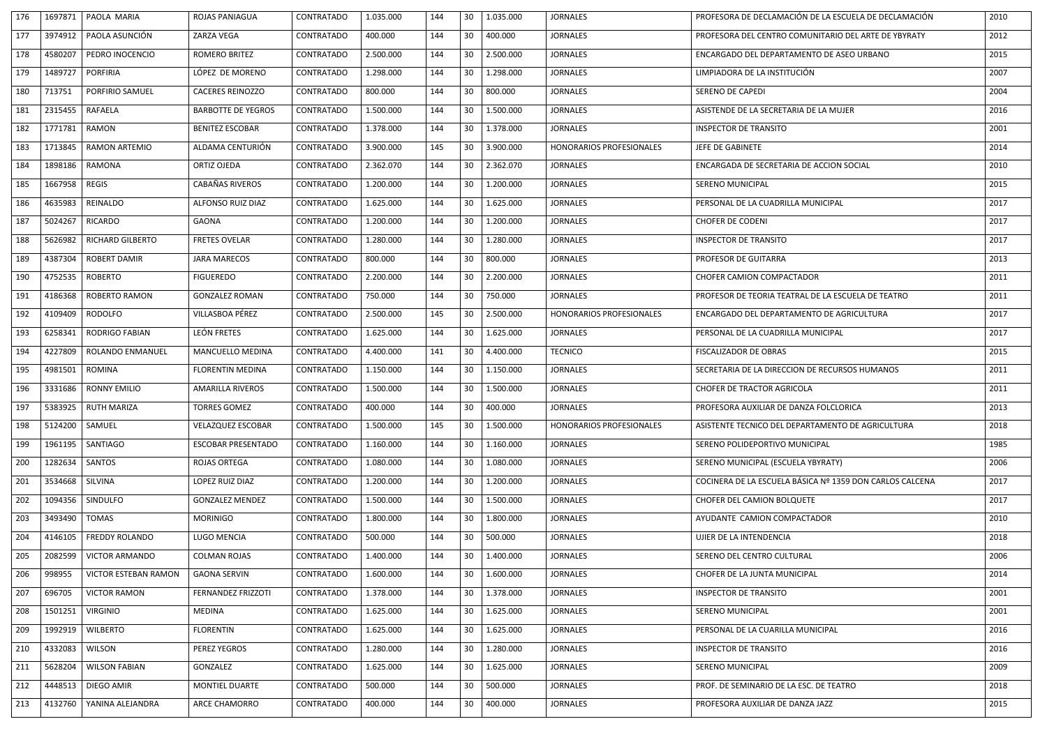| 176 | 1697871         | PAOLA MARIA                 | ROJAS PANIAGUA            | <b>CONTRATADO</b> | 1.035.000 | 144 | 30<br>1.035.000 | <b>JORNALES</b>                 | PROFESORA DE DECLAMACIÓN DE LA ESCUELA DE DECLAMACIÓN    | 2010 |
|-----|-----------------|-----------------------------|---------------------------|-------------------|-----------|-----|-----------------|---------------------------------|----------------------------------------------------------|------|
| 177 |                 | 3974912   PAOLA ASUNCIÓN    | ZARZA VEGA                | <b>CONTRATADO</b> | 400.000   | 144 | 30<br>400.000   | <b>JORNALES</b>                 | PROFESORA DEL CENTRO COMUNITARIO DEL ARTE DE YBYRATY     | 2012 |
| 178 | 4580207         | PEDRO INOCENCIO             | <b>ROMERO BRITEZ</b>      | CONTRATADO        | 2.500.000 | 144 | 2.500.000<br>30 | <b>JORNALES</b>                 | ENCARGADO DEL DEPARTAMENTO DE ASEO URBANO                | 2015 |
| 179 | 1489727         | PORFIRIA                    | LÓPEZ DE MORENO           | <b>CONTRATADO</b> | 1.298.000 | 144 | 30<br>1.298.000 | <b>JORNALES</b>                 | LIMPIADORA DE LA INSTITUCIÓN                             | 2007 |
| 180 | 713751          | PORFIRIO SAMUEL             | <b>CACERES REINOZZO</b>   | <b>CONTRATADO</b> | 800.000   | 144 | 30<br>800.000   | <b>JORNALES</b>                 | <b>SERENO DE CAPEDI</b>                                  | 2004 |
| 181 |                 | 2315455   RAFAELA           | <b>BARBOTTE DE YEGROS</b> | CONTRATADO        | 1.500.000 | 144 | 30<br>1.500.000 | <b>JORNALES</b>                 | ASISTENDE DE LA SECRETARIA DE LA MUJER                   | 2016 |
| 182 | 1771781         | <b>RAMON</b>                | <b>BENITEZ ESCOBAR</b>    | <b>CONTRATADO</b> | 1.378.000 | 144 | 1.378.000<br>30 | <b>JORNALES</b>                 | <b>INSPECTOR DE TRANSITO</b>                             | 2001 |
| 183 | 1713845         | <b>RAMON ARTEMIO</b>        | ALDAMA CENTURIÓN          | <b>CONTRATADO</b> | 3.900.000 | 145 | 3.900.000<br>30 | HONORARIOS PROFESIONALES        | JEFE DE GABINETE                                         | 2014 |
| 184 | 1898186         | RAMONA                      | ORTIZ OJEDA               | CONTRATADO        | 2.362.070 | 144 | 30<br>2.362.070 | <b>JORNALES</b>                 | ENCARGADA DE SECRETARIA DE ACCION SOCIAL                 | 2010 |
| 185 | 1667958   REGIS |                             | <b>CABAÑAS RIVEROS</b>    | <b>CONTRATADO</b> | 1.200.000 | 144 | 1.200.000<br>30 | <b>JORNALES</b>                 | <b>SERENO MUNICIPAL</b>                                  | 2015 |
| 186 | 4635983         | REINALDO                    | ALFONSO RUIZ DIAZ         | <b>CONTRATADO</b> | 1.625.000 | 144 | 30<br>1.625.000 | <b>JORNALES</b>                 | PERSONAL DE LA CUADRILLA MUNICIPAL                       | 2017 |
| 187 |                 | 5024267   RICARDO           | <b>GAONA</b>              | CONTRATADO        | 1.200.000 | 144 | 30<br>1.200.000 | <b>JORNALES</b>                 | <b>CHOFER DE CODENI</b>                                  | 2017 |
| 188 | 5626982         | RICHARD GILBERTO            | <b>FRETES OVELAR</b>      | <b>CONTRATADO</b> | 1.280.000 | 144 | 1.280.000<br>30 | <b>JORNALES</b>                 | <b>INSPECTOR DE TRANSITO</b>                             | 2017 |
| 189 |                 | 4387304   ROBERT DAMIR      | <b>JARA MARECOS</b>       | CONTRATADO        | 800.000   | 144 | 30<br>800.000   | <b>JORNALES</b>                 | PROFESOR DE GUITARRA                                     | 2013 |
| 190 |                 | 4752535   ROBERTO           | <b>FIGUEREDO</b>          | CONTRATADO        | 2.200.000 | 144 | 30<br>2.200.000 | <b>JORNALES</b>                 | CHOFER CAMION COMPACTADOR                                | 2011 |
| 191 | 4186368         | <b>ROBERTO RAMON</b>        | <b>GONZALEZ ROMAN</b>     | CONTRATADO        | 750.000   | 144 | 750.000<br>30   | <b>JORNALES</b>                 | PROFESOR DE TEORIA TEATRAL DE LA ESCUELA DE TEATRO       | 2011 |
| 192 | 4109409         | RODOLFO                     | VILLASBOA PÉREZ           | <b>CONTRATADO</b> | 2.500.000 | 145 | 2.500.000<br>30 | HONORARIOS PROFESIONALES        | ENCARGADO DEL DEPARTAMENTO DE AGRICULTURA                | 2017 |
| 193 | 6258341         | RODRIGO FABIAN              | LEÓN FRETES               | <b>CONTRATADO</b> | 1.625.000 | 144 | 30<br>1.625.000 | <b>JORNALES</b>                 | PERSONAL DE LA CUADRILLA MUNICIPAL                       | 2017 |
| 194 | 4227809         | ROLANDO ENMANUEL            | <b>MANCUELLO MEDINA</b>   | <b>CONTRATADO</b> | 4.400.000 | 141 | 30<br>4.400.000 | <b>TECNICO</b>                  | <b>FISCALIZADOR DE OBRAS</b>                             | 2015 |
| 195 |                 | 4981501   ROMINA            | FLORENTIN MEDINA          | CONTRATADO        | 1.150.000 | 144 | 30   1.150.000  | <b>JORNALES</b>                 | SECRETARIA DE LA DIRECCION DE RECURSOS HUMANOS           | 2011 |
| 196 | 3331686         | <b>RONNY EMILIO</b>         | <b>AMARILLA RIVEROS</b>   | CONTRATADO        | 1.500.000 | 144 | 30<br>1.500.000 | <b>JORNALES</b>                 | CHOFER DE TRACTOR AGRICOLA                               | 2011 |
| 197 | 5383925         | <b>RUTH MARIZA</b>          | <b>TORRES GOMEZ</b>       | <b>CONTRATADO</b> | 400.000   | 144 | 30<br>400.000   | <b>JORNALES</b>                 | PROFESORA AUXILIAR DE DANZA FOLCLORICA                   | 2013 |
| 198 | 5124200         | SAMUEL                      | <b>VELAZQUEZ ESCOBAR</b>  | <b>CONTRATADO</b> | 1.500.000 | 145 | 30<br>1.500.000 | <b>HONORARIOS PROFESIONALES</b> | ASISTENTE TECNICO DEL DEPARTAMENTO DE AGRICULTURA        | 2018 |
| 199 |                 | 1961195   SANTIAGO          | <b>ESCOBAR PRESENTADO</b> | CONTRATADO        | 1.160.000 | 144 | 30<br>1.160.000 | <b>JORNALES</b>                 | SERENO POLIDEPORTIVO MUNICIPAL                           | 1985 |
| 200 | 1282634         | SANTOS                      | <b>ROJAS ORTEGA</b>       | <b>CONTRATADO</b> | 1.080.000 | 144 | 1.080.000<br>30 | <b>JORNALES</b>                 | SERENO MUNICIPAL (ESCUELA YBYRATY)                       | 2006 |
| 201 | 3534668         | SILVINA                     | LOPEZ RUIZ DIAZ           | <b>CONTRATADO</b> | 1.200.000 | 144 | 30<br>1.200.000 | <b>JORNALES</b>                 | COCINERA DE LA ESCUELA BÁSICA Nº 1359 DON CARLOS CALCENA | 2017 |
| 202 | 1094356         | SINDULFO                    | <b>GONZALEZ MENDEZ</b>    | CONTRATADO        | 1.500.000 | 144 | 30<br>1.500.000 | <b>JORNALES</b>                 | CHOFER DEL CAMION BOLQUETE                               | 2017 |
| 203 | 3493490         | <b>TOMAS</b>                | <b>MORINIGO</b>           | <b>CONTRATADO</b> | 1.800.000 | 144 | 30<br>1.800.000 | <b>JORNALES</b>                 | AYUDANTE CAMION COMPACTADOR                              | 2010 |
| 204 | 4146105         | <b>FREDDY ROLANDO</b>       | LUGO MENCIA               | <b>CONTRATADO</b> | 500.000   | 144 | 30<br>500.000   | <b>JORNALES</b>                 | UJIER DE LA INTENDENCIA                                  | 2018 |
| 205 | 2082599         | <b>VICTOR ARMANDO</b>       | <b>COLMAN ROJAS</b>       | <b>CONTRATADO</b> | 1.400.000 | 144 | 30<br>1.400.000 | <b>JORNALES</b>                 | SERENO DEL CENTRO CULTURAL                               | 2006 |
| 206 | 998955          | <b>VICTOR ESTEBAN RAMON</b> | <b>GAONA SERVIN</b>       | <b>CONTRATADO</b> | 1.600.000 | 144 | 30<br>1.600.000 | <b>JORNALES</b>                 | CHOFER DE LA JUNTA MUNICIPAL                             | 2014 |
| 207 | 696705          | <b>VICTOR RAMON</b>         | <b>FERNANDEZ FRIZZOTI</b> | <b>CONTRATADO</b> | 1.378.000 | 144 | 30<br>1.378.000 | <b>JORNALES</b>                 | <b>INSPECTOR DE TRANSITO</b>                             | 2001 |
| 208 | 1501251         | <b>VIRGINIO</b>             | <b>MEDINA</b>             | CONTRATADO        | 1.625.000 | 144 | 30<br>1.625.000 | <b>JORNALES</b>                 | <b>SERENO MUNICIPAL</b>                                  | 2001 |
| 209 | 1992919         | <b>WILBERTO</b>             | <b>FLORENTIN</b>          | <b>CONTRATADO</b> | 1.625.000 | 144 | 30<br>1.625.000 | <b>JORNALES</b>                 | PERSONAL DE LA CUARILLA MUNICIPAL                        | 2016 |
| 210 | 4332083         | <b>WILSON</b>               | <b>PEREZ YEGROS</b>       | <b>CONTRATADO</b> | 1.280.000 | 144 | 30<br>1.280.000 | <b>JORNALES</b>                 | <b>INSPECTOR DE TRANSITO</b>                             | 2016 |
| 211 | 5628204         | <b>WILSON FABIAN</b>        | GONZALEZ                  | <b>CONTRATADO</b> | 1.625.000 | 144 | 30<br>1.625.000 | <b>JORNALES</b>                 | <b>SERENO MUNICIPAL</b>                                  | 2009 |
| 212 | 4448513         | DIEGO AMIR                  | <b>MONTIEL DUARTE</b>     | <b>CONTRATADO</b> | 500.000   | 144 | 500.000<br>30   | <b>JORNALES</b>                 | PROF. DE SEMINARIO DE LA ESC. DE TEATRO                  | 2018 |
| 213 | 4132760         | YANINA ALEJANDRA            | <b>ARCE CHAMORRO</b>      | CONTRATADO        | 400.000   | 144 | 400.000<br>30   | <b>JORNALES</b>                 | PROFESORA AUXILIAR DE DANZA JAZZ                         | 2015 |
|     |                 |                             |                           |                   |           |     |                 |                                 |                                                          |      |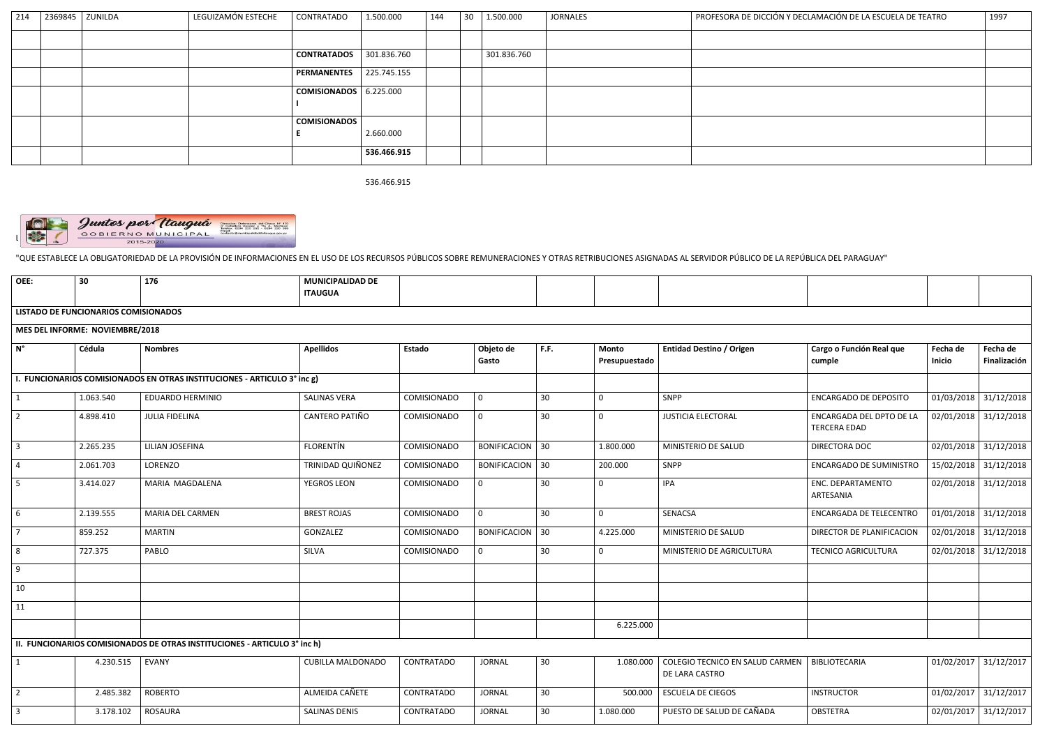| 214 | 2369845   ZUNILDA | LEGUIZAMÓN ESTECHE | CONTRATADO                     | 1.500.000   | 144 | 30 | 1.500.000   | <b>JORNALES</b> | PROFESORA DE DICCIÓN Y DECLAMACIÓN DE LA ESCUELA DE TEATRO | 1997 |
|-----|-------------------|--------------------|--------------------------------|-------------|-----|----|-------------|-----------------|------------------------------------------------------------|------|
|     |                   |                    |                                |             |     |    |             |                 |                                                            |      |
|     |                   |                    | <b>CONTRATADOS</b>             | 301.836.760 |     |    | 301.836.760 |                 |                                                            |      |
|     |                   |                    | <b>PERMANENTES</b> 225.745.155 |             |     |    |             |                 |                                                            |      |
|     |                   |                    | $COMISIONADOS$ 6.225.000       |             |     |    |             |                 |                                                            |      |
|     |                   |                    |                                |             |     |    |             |                 |                                                            |      |
|     |                   |                    | <b>COMISIONADOS</b>            |             |     |    |             |                 |                                                            |      |
|     |                   |                    |                                | 2.660.000   |     |    |             |                 |                                                            |      |
|     |                   |                    |                                | 536.466.915 |     |    |             |                 |                                                            |      |

536.466.915



"QUE ESTABLECE LA OBLIGATORIEDAD DE LA PROVISIÓN DE INFORMACIONES EN EL USO DE LOS RECURSOS PÚBLICOS SOBRE REMUNERACIONES Y OTRAS RETRIBUCIONES ASIGNADAS AL SERVIDOR PÚBLICO DE LA REPÚBLICA DEL PARAGUAY"

| OEE: |                                      | 176 | <b>MUNICIPALIDAD DE</b><br><b>ITAUGUA</b> |  |  |  |  |
|------|--------------------------------------|-----|-------------------------------------------|--|--|--|--|
|      | LISTADO DE FUNCIONARIOS COMISIONADOS |     |                                           |  |  |  |  |

## **MES DEL INFORME: NOVIEMBRE/2018**

|           |                         |                          |                                                                                                                                                                           |               |                    |                                                               |                                                   |                                                 |                                    | Fecha de                  |
|-----------|-------------------------|--------------------------|---------------------------------------------------------------------------------------------------------------------------------------------------------------------------|---------------|--------------------|---------------------------------------------------------------|---------------------------------------------------|-------------------------------------------------|------------------------------------|---------------------------|
|           |                         |                          |                                                                                                                                                                           |               |                    |                                                               |                                                   |                                                 |                                    | Finalización              |
|           |                         |                          |                                                                                                                                                                           |               |                    |                                                               |                                                   |                                                 |                                    |                           |
| 1.063.540 | <b>EDUARDO HERMINIO</b> | <b>SALINAS VERA</b>      | <b>COMISIONADO</b>                                                                                                                                                        | $\mathbf 0$   | 30 <sup>°</sup>    | $\mathbf 0$                                                   | SNPP                                              | <b>ENCARGADO DE DEPOSITO</b>                    |                                    | 01/03/2018 31/12/2018     |
| 4.898.410 | <b>JULIA FIDELINA</b>   | CANTERO PATIÑO           | <b>COMISIONADO</b>                                                                                                                                                        | $\mathbf 0$   | 30 <sup>°</sup>    | $\mathbf 0$                                                   | <b>JUSTICIA ELECTORAL</b>                         | ENCARGADA DEL DPTO DE LA<br><b>TERCERA EDAD</b> |                                    | 02/01/2018 31/12/2018     |
| 2.265.235 | <b>LILIAN JOSEFINA</b>  | <b>FLORENTÍN</b>         | COMISIONADO                                                                                                                                                               |               |                    | 1.800.000                                                     | MINISTERIO DE SALUD                               | DIRECTORA DOC                                   |                                    | 02/01/2018 31/12/2018     |
| 2.061.703 | LORENZO                 | TRINIDAD QUIÑONEZ        | COMISIONADO                                                                                                                                                               |               |                    | 200.000                                                       | SNPP                                              | <b>ENCARGADO DE SUMINISTRO</b>                  |                                    | 15/02/2018 31/12/2018     |
| 3.414.027 | MARIA MAGDALENA         | YEGROS LEON              | COMISIONADO                                                                                                                                                               | $\mathbf 0$   | 30 <sup>°</sup>    | $\mathbf 0$                                                   | IPA                                               | ENC. DEPARTAMENTO<br>ARTESANIA                  |                                    | 02/01/2018 31/12/2018     |
| 2.139.555 | MARIA DEL CARMEN        | <b>BREST ROJAS</b>       | COMISIONADO                                                                                                                                                               | $\mathbf 0$   | 30 <sup>°</sup>    | $\mathbf 0$                                                   | SENACSA                                           | <b>ENCARGADA DE TELECENTRO</b>                  |                                    | $01/01/2018$ 31/12/2018   |
| 859.252   | <b>MARTIN</b>           | GONZALEZ                 | COMISIONADO                                                                                                                                                               |               |                    | 4.225.000                                                     | MINISTERIO DE SALUD                               | DIRECTOR DE PLANIFICACION                       |                                    | 02/01/2018 31/12/2018     |
| 727.375   | PABLO                   | SILVA                    | <b>COMISIONADO</b>                                                                                                                                                        | 0             | 30 <sup>°</sup>    | $\mathbf 0$                                                   | MINISTERIO DE AGRICULTURA                         | <b>TECNICO AGRICULTURA</b>                      |                                    | 02/01/2018 31/12/2018     |
|           |                         |                          |                                                                                                                                                                           |               |                    |                                                               |                                                   |                                                 |                                    |                           |
|           |                         |                          |                                                                                                                                                                           |               |                    |                                                               |                                                   |                                                 |                                    |                           |
|           |                         |                          |                                                                                                                                                                           |               |                    |                                                               |                                                   |                                                 |                                    |                           |
|           |                         |                          |                                                                                                                                                                           |               |                    | 6.225.000                                                     |                                                   |                                                 |                                    |                           |
|           |                         |                          |                                                                                                                                                                           |               |                    |                                                               |                                                   |                                                 |                                    |                           |
| 4.230.515 | <b>EVANY</b>            | <b>CUBILLA MALDONADO</b> | <b>CONTRATADO</b>                                                                                                                                                         | <b>JORNAL</b> | 30 <sup>°</sup>    | 1.080.000                                                     | COLEGIO TECNICO EN SALUD CARMEN<br>DE LARA CASTRO | <b>BIBLIOTECARIA</b>                            |                                    | 01/02/2017 31/12/2017     |
| 2.485.382 | <b>ROBERTO</b>          | ALMEIDA CAÑETE           | <b>CONTRATADO</b>                                                                                                                                                         | <b>JORNAL</b> | 30 <sup>°</sup>    | 500.000                                                       | <b>ESCUELA DE CIEGOS</b>                          | <b>INSTRUCTOR</b>                               | 01/02/2017                         | 31/12/2017                |
| 3.178.102 | <b>ROSAURA</b>          | <b>SALINAS DENIS</b>     | CONTRATADO                                                                                                                                                                | <b>JORNAL</b> | 30 <sup>°</sup>    | 1.080.000                                                     | PUESTO DE SALUD DE CAÑADA                         | <b>OBSTETRA</b>                                 | 02/01/2017                         | 31/12/2017                |
|           | Cédula                  | <b>Nombres</b>           | <b>Apellidos</b><br>I. FUNCIONARIOS COMISIONADOS EN OTRAS INSTITUCIONES - ARTICULO 3° inc g)<br>II. FUNCIONARIOS COMISIONADOS DE OTRAS INSTITUCIONES - ARTICULO 3° inc h) | Estado        | Objeto de<br>Gasto | F.F.<br>BONIFICACION 30<br>BONIFICACION 30<br>BONIFICACION 30 | <b>Monto</b><br>Presupuestado                     | <b>Entidad Destino / Origen</b>                 | Cargo o Función Real que<br>cumple | Fecha de<br><b>Inicio</b> |